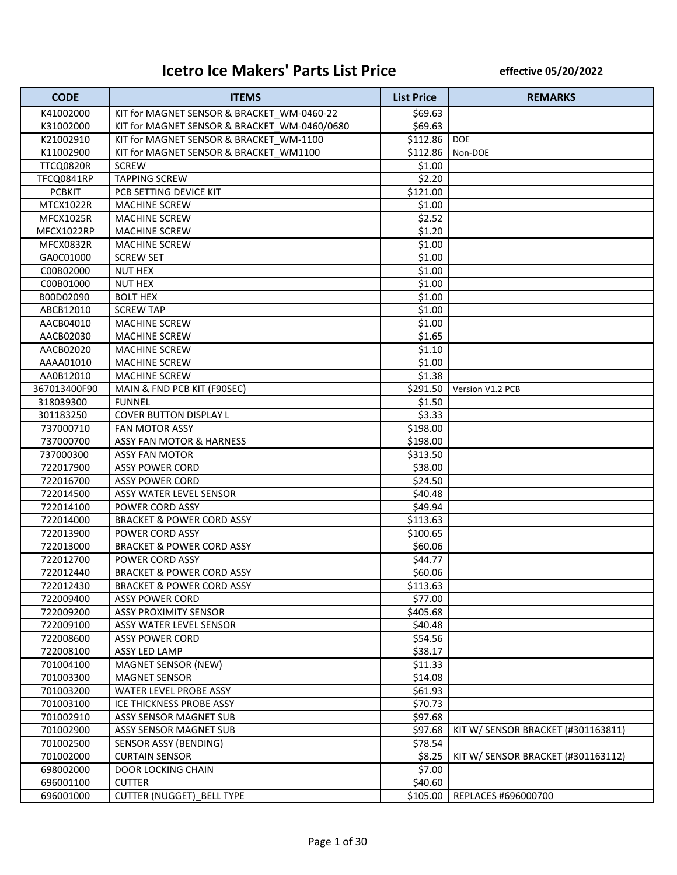## **Icetro Ice Makers' Parts List Price**

**effective 05/20/2022**

| <b>CODE</b>      | <b>ITEMS</b>                                 | <b>List Price</b> | <b>REMARKS</b>                     |
|------------------|----------------------------------------------|-------------------|------------------------------------|
| K41002000        | KIT for MAGNET SENSOR & BRACKET WM-0460-22   | \$69.63           |                                    |
| K31002000        | KIT for MAGNET SENSOR & BRACKET WM-0460/0680 | \$69.63           |                                    |
| K21002910        | KIT for MAGNET SENSOR & BRACKET WM-1100      | \$112.86          | <b>DOE</b>                         |
| K11002900        | KIT for MAGNET SENSOR & BRACKET WM1100       | \$112.86          | Non-DOE                            |
| TTCQ0820R        | <b>SCREW</b>                                 | \$1.00            |                                    |
| TFCQ0841RP       | <b>TAPPING SCREW</b>                         | \$2.20            |                                    |
| <b>PCBKIT</b>    | PCB SETTING DEVICE KIT                       | \$121.00          |                                    |
| MTCX1022R        | <b>MACHINE SCREW</b>                         | \$1.00            |                                    |
| <b>MFCX1025R</b> | <b>MACHINE SCREW</b>                         | \$2.52            |                                    |
| MFCX1022RP       | <b>MACHINE SCREW</b>                         | \$1.20            |                                    |
| MFCX0832R        | <b>MACHINE SCREW</b>                         | \$1.00            |                                    |
| GA0C01000        | <b>SCREW SET</b>                             | \$1.00            |                                    |
| C00B02000        | <b>NUT HEX</b>                               | \$1.00            |                                    |
| C00B01000        | <b>NUT HEX</b>                               | \$1.00            |                                    |
| B00D02090        | <b>BOLT HEX</b>                              | \$1.00            |                                    |
| ABCB12010        | <b>SCREW TAP</b>                             | \$1.00            |                                    |
| AACB04010        | <b>MACHINE SCREW</b>                         | \$1.00            |                                    |
| AACB02030        | <b>MACHINE SCREW</b>                         | \$1.65            |                                    |
| AACB02020        | <b>MACHINE SCREW</b>                         | \$1.10            |                                    |
| AAAA01010        | <b>MACHINE SCREW</b>                         | \$1.00            |                                    |
| AA0B12010        | <b>MACHINE SCREW</b>                         | \$1.38            |                                    |
| 367013400F90     | MAIN & FND PCB KIT (F90SEC)                  | \$291.50          | Version V1.2 PCB                   |
| 318039300        | <b>FUNNEL</b>                                | \$1.50            |                                    |
| 301183250        | <b>COVER BUTTON DISPLAY L</b>                | \$3.33            |                                    |
| 737000710        | FAN MOTOR ASSY                               | \$198.00          |                                    |
| 737000700        | ASSY FAN MOTOR & HARNESS                     | \$198.00          |                                    |
| 737000300        | <b>ASSY FAN MOTOR</b>                        | \$313.50          |                                    |
| 722017900        | <b>ASSY POWER CORD</b>                       | \$38.00           |                                    |
| 722016700        | <b>ASSY POWER CORD</b>                       | \$24.50           |                                    |
| 722014500        | ASSY WATER LEVEL SENSOR                      | \$40.48           |                                    |
| 722014100        | POWER CORD ASSY                              | \$49.94           |                                    |
| 722014000        | <b>BRACKET &amp; POWER CORD ASSY</b>         | \$113.63          |                                    |
| 722013900        | POWER CORD ASSY                              | \$100.65          |                                    |
| 722013000        | <b>BRACKET &amp; POWER CORD ASSY</b>         | \$60.06           |                                    |
| 722012700        | POWER CORD ASSY                              | \$44.77           |                                    |
| 722012440        | <b>BRACKET &amp; POWER CORD ASSY</b>         | \$60.06           |                                    |
| 722012430        | <b>BRACKET &amp; POWER CORD ASSY</b>         | \$113.63          |                                    |
| 722009400        | <b>ASSY POWER CORD</b>                       | \$77.00           |                                    |
| 722009200        | <b>ASSY PROXIMITY SENSOR</b>                 | \$405.68          |                                    |
| 722009100        | ASSY WATER LEVEL SENSOR                      | \$40.48           |                                    |
| 722008600        | <b>ASSY POWER CORD</b>                       | \$54.56           |                                    |
| 722008100        | ASSY LED LAMP                                | \$38.17           |                                    |
| 701004100        | <b>MAGNET SENSOR (NEW)</b>                   | \$11.33           |                                    |
| 701003300        | <b>MAGNET SENSOR</b>                         | \$14.08           |                                    |
| 701003200        | WATER LEVEL PROBE ASSY                       | \$61.93           |                                    |
| 701003100        | ICE THICKNESS PROBE ASSY                     | \$70.73           |                                    |
| 701002910        | ASSY SENSOR MAGNET SUB                       | \$97.68           |                                    |
| 701002900        | ASSY SENSOR MAGNET SUB                       | \$97.68           | KIT W/ SENSOR BRACKET (#301163811) |
| 701002500        | SENSOR ASSY (BENDING)                        | \$78.54           |                                    |
| 701002000        | <b>CURTAIN SENSOR</b>                        | \$8.25            | KIT W/ SENSOR BRACKET (#301163112) |
| 698002000        | DOOR LOCKING CHAIN                           | \$7.00            |                                    |
| 696001100        | <b>CUTTER</b>                                | \$40.60           |                                    |
| 696001000        | <b>CUTTER (NUGGET) BELL TYPE</b>             | \$105.00          | REPLACES #696000700                |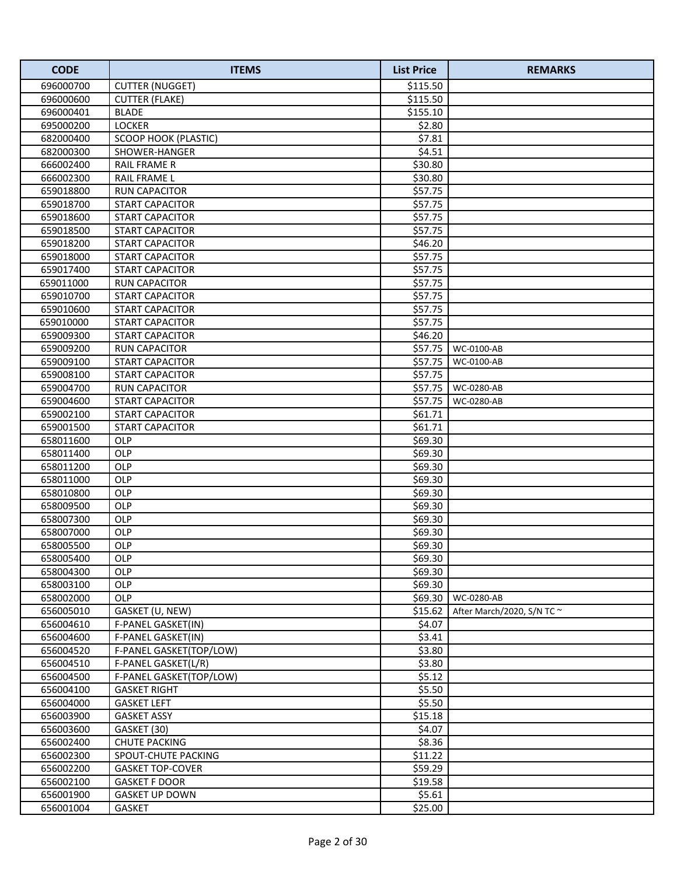| <b>CODE</b>            | <b>ITEMS</b>                             | <b>List Price</b> | <b>REMARKS</b>                  |
|------------------------|------------------------------------------|-------------------|---------------------------------|
| 696000700              | <b>CUTTER (NUGGET)</b>                   | \$115.50          |                                 |
| 696000600              | <b>CUTTER (FLAKE)</b>                    | \$115.50          |                                 |
| 696000401              | <b>BLADE</b>                             | \$155.10          |                                 |
| 695000200              | <b>LOCKER</b>                            | \$2.80            |                                 |
| 682000400              | SCOOP HOOK (PLASTIC)                     | \$7.81            |                                 |
| 682000300              | SHOWER-HANGER                            | \$4.51            |                                 |
| 666002400              | <b>RAIL FRAME R</b>                      | \$30.80           |                                 |
| 666002300              | RAIL FRAME L                             | \$30.80           |                                 |
| 659018800              | <b>RUN CAPACITOR</b>                     | \$57.75           |                                 |
| 659018700              | <b>START CAPACITOR</b>                   | \$57.75           |                                 |
| 659018600              | <b>START CAPACITOR</b>                   | \$57.75           |                                 |
| 659018500              | <b>START CAPACITOR</b>                   | \$57.75           |                                 |
| 659018200              | <b>START CAPACITOR</b>                   | \$46.20           |                                 |
| 659018000              | START CAPACITOR                          | \$57.75           |                                 |
| 659017400              | <b>START CAPACITOR</b>                   | \$57.75           |                                 |
| 659011000              | <b>RUN CAPACITOR</b>                     | \$57.75           |                                 |
| 659010700              | <b>START CAPACITOR</b>                   | \$57.75           |                                 |
| 659010600              | <b>START CAPACITOR</b>                   | \$57.75           |                                 |
| 659010000              | <b>START CAPACITOR</b>                   | \$57.75           |                                 |
| 659009300              | <b>START CAPACITOR</b>                   | \$46.20           |                                 |
| 659009200              | <b>RUN CAPACITOR</b>                     | \$57.75           | WC-0100-AB                      |
| 659009100              | <b>START CAPACITOR</b>                   | \$57.75           | WC-0100-AB                      |
| 659008100              | <b>START CAPACITOR</b>                   | \$57.75           |                                 |
| 659004700              | <b>RUN CAPACITOR</b>                     | \$57.75           | WC-0280-AB                      |
| 659004600              | <b>START CAPACITOR</b>                   | \$57.75           | WC-0280-AB                      |
| 659002100              | <b>START CAPACITOR</b>                   | \$61.71           |                                 |
| 659001500              | START CAPACITOR                          | \$61.71           |                                 |
| 658011600              | OLP                                      | \$69.30           |                                 |
| 658011400              | OLP                                      | \$69.30           |                                 |
| 658011200              | OLP                                      | \$69.30           |                                 |
| 658011000              | OLP                                      | \$69.30           |                                 |
| 658010800              | OLP                                      | \$69.30           |                                 |
| 658009500              | OLP                                      | \$69.30           |                                 |
| 658007300              | OLP                                      | \$69.30           |                                 |
| 658007000              | OLP                                      | \$69.30           |                                 |
| 658005500              | <b>OLP</b>                               | \$69.30           |                                 |
| 658005400              | <b>OLP</b>                               | \$69.30           |                                 |
| 658004300              | <b>OLP</b>                               | \$69.30           |                                 |
| 658003100              | <b>OLP</b>                               | \$69.30           |                                 |
| 658002000              | <b>OLP</b>                               | \$69.30           | WC-0280-AB                      |
| 656005010<br>656004610 | GASKET (U, NEW)                          | \$15.62<br>\$4.07 | After March/2020, S/N TC $\sim$ |
|                        | F-PANEL GASKET(IN)                       |                   |                                 |
| 656004600              | F-PANEL GASKET(IN)                       | \$3.41            |                                 |
| 656004520              | F-PANEL GASKET(TOP/LOW)                  | \$3.80            |                                 |
| 656004510<br>656004500 | F-PANEL GASKET(L/R)                      | \$3.80<br>\$5.12  |                                 |
| 656004100              | F-PANEL GASKET(TOP/LOW)                  | \$5.50            |                                 |
| 656004000              | <b>GASKET RIGHT</b>                      | \$5.50            |                                 |
| 656003900              | <b>GASKET LEFT</b><br><b>GASKET ASSY</b> | \$15.18           |                                 |
| 656003600              | GASKET (30)                              | \$4.07            |                                 |
| 656002400              | <b>CHUTE PACKING</b>                     | \$8.36            |                                 |
| 656002300              | SPOUT-CHUTE PACKING                      | \$11.22           |                                 |
| 656002200              | <b>GASKET TOP-COVER</b>                  | \$59.29           |                                 |
| 656002100              | <b>GASKET F DOOR</b>                     | \$19.58           |                                 |
| 656001900              | <b>GASKET UP DOWN</b>                    | \$5.61            |                                 |
| 656001004              | GASKET                                   | \$25.00           |                                 |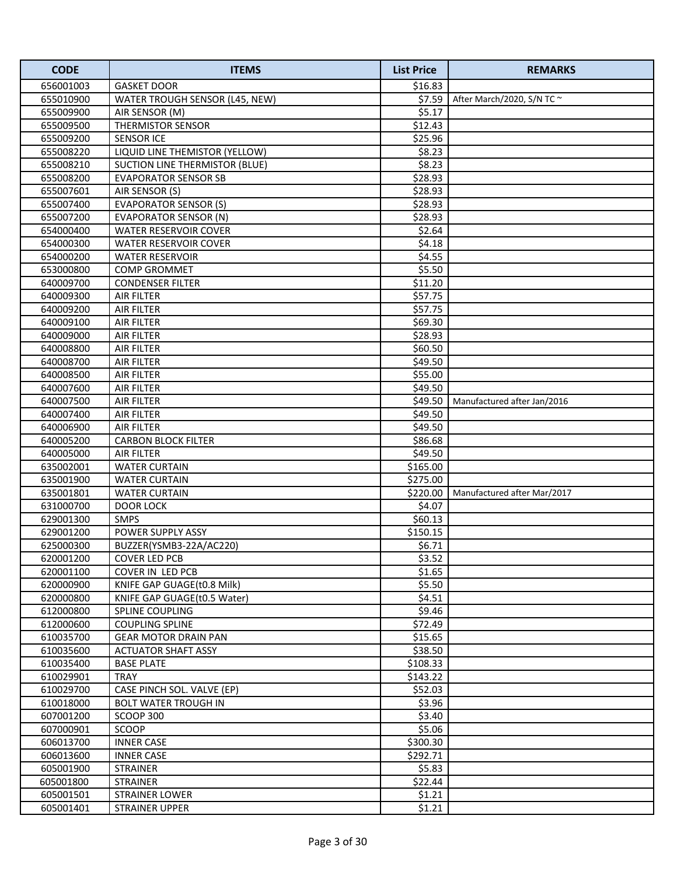| <b>CODE</b>            | <b>ITEMS</b>                                    | <b>List Price</b> | <b>REMARKS</b>                  |
|------------------------|-------------------------------------------------|-------------------|---------------------------------|
| 656001003              | <b>GASKET DOOR</b>                              | \$16.83           |                                 |
| 655010900              | WATER TROUGH SENSOR (L45, NEW)                  | \$7.59            | After March/2020, S/N TC $\sim$ |
| 655009900              | AIR SENSOR (M)                                  | \$5.17            |                                 |
| 655009500              | <b>THERMISTOR SENSOR</b>                        | \$12.43           |                                 |
| 655009200              | <b>SENSOR ICE</b>                               | \$25.96           |                                 |
| 655008220              | LIQUID LINE THEMISTOR (YELLOW)                  | \$8.23            |                                 |
| 655008210              | <b>SUCTION LINE THERMISTOR (BLUE)</b>           | \$8.23            |                                 |
| 655008200              | <b>EVAPORATOR SENSOR SB</b>                     | \$28.93           |                                 |
| 655007601              | AIR SENSOR (S)                                  | \$28.93           |                                 |
| 655007400              | <b>EVAPORATOR SENSOR (S)</b>                    | \$28.93           |                                 |
| 655007200              | <b>EVAPORATOR SENSOR (N)</b>                    | \$28.93           |                                 |
| 654000400              | <b>WATER RESERVOIR COVER</b>                    | \$2.64            |                                 |
| 654000300              | <b>WATER RESERVOIR COVER</b>                    | \$4.18            |                                 |
| 654000200              | <b>WATER RESERVOIR</b>                          | \$4.55            |                                 |
| 653000800              | <b>COMP GROMMET</b>                             | \$5.50            |                                 |
| 640009700              | <b>CONDENSER FILTER</b>                         | \$11.20           |                                 |
| 640009300              | AIR FILTER                                      | \$57.75           |                                 |
| 640009200              | <b>AIR FILTER</b>                               | \$57.75           |                                 |
| 640009100              | AIR FILTER                                      | \$69.30           |                                 |
| 640009000              | AIR FILTER                                      | \$28.93           |                                 |
| 640008800              | <b>AIR FILTER</b>                               | \$60.50           |                                 |
| 640008700              | <b>AIR FILTER</b>                               | \$49.50           |                                 |
| 640008500              | <b>AIR FILTER</b>                               | \$55.00           |                                 |
| 640007600              | <b>AIR FILTER</b>                               | \$49.50           |                                 |
| 640007500              | <b>AIR FILTER</b>                               | \$49.50           | Manufactured after Jan/2016     |
| 640007400              | <b>AIR FILTER</b>                               | \$49.50           |                                 |
| 640006900              | <b>AIR FILTER</b>                               | \$49.50           |                                 |
| 640005200              | <b>CARBON BLOCK FILTER</b>                      | \$86.68           |                                 |
| 640005000              | <b>AIR FILTER</b>                               | \$49.50           |                                 |
| 635002001              | <b>WATER CURTAIN</b>                            | \$165.00          |                                 |
| 635001900              | <b>WATER CURTAIN</b>                            | \$275.00          |                                 |
| 635001801              | <b>WATER CURTAIN</b>                            | \$220.00          | Manufactured after Mar/2017     |
| 631000700              | DOOR LOCK                                       | \$4.07            |                                 |
| 629001300              | <b>SMPS</b>                                     | \$60.13           |                                 |
| 629001200              | POWER SUPPLY ASSY                               | \$150.15          |                                 |
| 625000300              | BUZZER(YSMB3-22A/AC220)                         | \$6.71            |                                 |
| 620001200<br>620001100 | <b>COVER LED PCB</b><br><b>COVER IN LED PCB</b> | \$3.52<br>\$1.65  |                                 |
| 620000900              | KNIFE GAP GUAGE(t0.8 Milk)                      | \$5.50            |                                 |
| 620000800              | KNIFE GAP GUAGE(t0.5 Water)                     | \$4.51            |                                 |
| 612000800              | <b>SPLINE COUPLING</b>                          | \$9.46            |                                 |
| 612000600              | <b>COUPLING SPLINE</b>                          | \$72.49           |                                 |
| 610035700              | <b>GEAR MOTOR DRAIN PAN</b>                     | \$15.65           |                                 |
| 610035600              | <b>ACTUATOR SHAFT ASSY</b>                      | \$38.50           |                                 |
| 610035400              | <b>BASE PLATE</b>                               | \$108.33          |                                 |
| 610029901              | TRAY                                            | \$143.22          |                                 |
| 610029700              | CASE PINCH SOL. VALVE (EP)                      | \$52.03           |                                 |
| 610018000              | <b>BOLT WATER TROUGH IN</b>                     | \$3.96            |                                 |
| 607001200              | SCOOP 300                                       | \$3.40            |                                 |
| 607000901              | <b>SCOOP</b>                                    | \$5.06            |                                 |
| 606013700              | INNER CASE                                      | \$300.30          |                                 |
| 606013600              | INNER CASE                                      | \$292.71          |                                 |
| 605001900              | STRAINER                                        | \$5.83            |                                 |
| 605001800              | STRAINER                                        | \$22.44           |                                 |
| 605001501              | STRAINER LOWER                                  | \$1.21            |                                 |
| 605001401              | <b>STRAINER UPPER</b>                           | \$1.21            |                                 |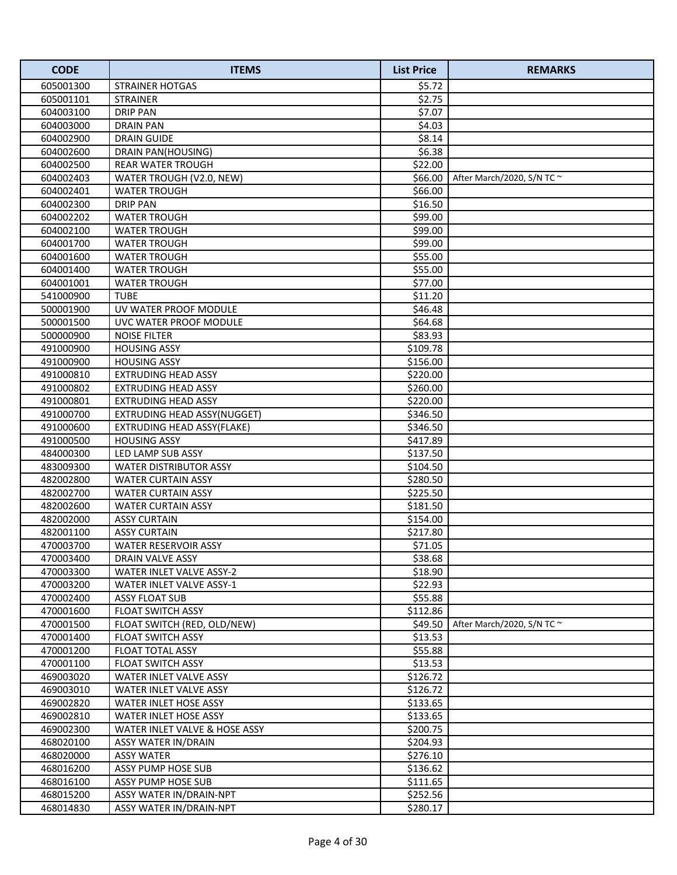| <b>CODE</b> | <b>ITEMS</b>                  | <b>List Price</b> | <b>REMARKS</b>                  |
|-------------|-------------------------------|-------------------|---------------------------------|
| 605001300   | <b>STRAINER HOTGAS</b>        | \$5.72            |                                 |
| 605001101   | <b>STRAINER</b>               | \$2.75            |                                 |
| 604003100   | <b>DRIP PAN</b>               | \$7.07            |                                 |
| 604003000   | <b>DRAIN PAN</b>              | \$4.03            |                                 |
| 604002900   | <b>DRAIN GUIDE</b>            | \$8.14            |                                 |
| 604002600   | DRAIN PAN(HOUSING)            | \$6.38            |                                 |
| 604002500   | <b>REAR WATER TROUGH</b>      | \$22.00           |                                 |
| 604002403   | WATER TROUGH (V2.0, NEW)      | \$66.00           | After March/2020, S/N TC $\sim$ |
| 604002401   | <b>WATER TROUGH</b>           | \$66.00           |                                 |
| 604002300   | <b>DRIP PAN</b>               | \$16.50           |                                 |
| 604002202   | <b>WATER TROUGH</b>           | \$99.00           |                                 |
| 604002100   | <b>WATER TROUGH</b>           | \$99.00           |                                 |
| 604001700   | <b>WATER TROUGH</b>           | \$99.00           |                                 |
| 604001600   | <b>WATER TROUGH</b>           | \$55.00           |                                 |
| 604001400   | <b>WATER TROUGH</b>           | \$55.00           |                                 |
| 604001001   | <b>WATER TROUGH</b>           | \$77.00           |                                 |
| 541000900   | <b>TUBE</b>                   | \$11.20           |                                 |
| 500001900   | UV WATER PROOF MODULE         | \$46.48           |                                 |
| 500001500   | UVC WATER PROOF MODULE        | \$64.68           |                                 |
| 500000900   | <b>NOISE FILTER</b>           | \$83.93           |                                 |
| 491000900   | <b>HOUSING ASSY</b>           | \$109.78          |                                 |
| 491000900   | <b>HOUSING ASSY</b>           | \$156.00          |                                 |
| 491000810   | <b>EXTRUDING HEAD ASSY</b>    | \$220.00          |                                 |
| 491000802   | <b>EXTRUDING HEAD ASSY</b>    | \$260.00          |                                 |
| 491000801   | <b>EXTRUDING HEAD ASSY</b>    | \$220.00          |                                 |
| 491000700   | EXTRUDING HEAD ASSY(NUGGET)   | \$346.50          |                                 |
| 491000600   | EXTRUDING HEAD ASSY(FLAKE)    | \$346.50          |                                 |
| 491000500   | <b>HOUSING ASSY</b>           | \$417.89          |                                 |
| 484000300   | LED LAMP SUB ASSY             | \$137.50          |                                 |
| 483009300   | <b>WATER DISTRIBUTOR ASSY</b> | \$104.50          |                                 |
| 482002800   | <b>WATER CURTAIN ASSY</b>     | \$280.50          |                                 |
| 482002700   | <b>WATER CURTAIN ASSY</b>     | \$225.50          |                                 |
| 482002600   | <b>WATER CURTAIN ASSY</b>     | \$181.50          |                                 |
| 482002000   | <b>ASSY CURTAIN</b>           | \$154.00          |                                 |
| 482001100   | <b>ASSY CURTAIN</b>           | \$217.80          |                                 |
| 470003700   | WATER RESERVOIR ASSY          | \$71.05           |                                 |
| 470003400   | DRAIN VALVE ASSY              | \$38.68           |                                 |
| 470003300   | WATER INLET VALVE ASSY-2      | \$18.90           |                                 |
| 470003200   | WATER INLET VALVE ASSY-1      | \$22.93           |                                 |
| 470002400   | <b>ASSY FLOAT SUB</b>         | \$55.88           |                                 |
| 470001600   | <b>FLOAT SWITCH ASSY</b>      | \$112.86          |                                 |
| 470001500   | FLOAT SWITCH (RED, OLD/NEW)   | \$49.50           | After March/2020, S/N TC $\sim$ |
| 470001400   | <b>FLOAT SWITCH ASSY</b>      | \$13.53           |                                 |
| 470001200   | FLOAT TOTAL ASSY              | \$55.88           |                                 |
| 470001100   | <b>FLOAT SWITCH ASSY</b>      | \$13.53           |                                 |
| 469003020   | WATER INLET VALVE ASSY        | \$126.72          |                                 |
| 469003010   | WATER INLET VALVE ASSY        | \$126.72          |                                 |
| 469002820   | WATER INLET HOSE ASSY         | \$133.65          |                                 |
| 469002810   | <b>WATER INLET HOSE ASSY</b>  | \$133.65          |                                 |
| 469002300   | WATER INLET VALVE & HOSE ASSY | \$200.75          |                                 |
| 468020100   | ASSY WATER IN/DRAIN           | \$204.93          |                                 |
| 468020000   | <b>ASSY WATER</b>             | \$276.10          |                                 |
| 468016200   | ASSY PUMP HOSE SUB            | \$136.62          |                                 |
| 468016100   | ASSY PUMP HOSE SUB            | \$111.65          |                                 |
| 468015200   | ASSY WATER IN/DRAIN-NPT       | \$252.56          |                                 |
| 468014830   | ASSY WATER IN/DRAIN-NPT       | \$280.17          |                                 |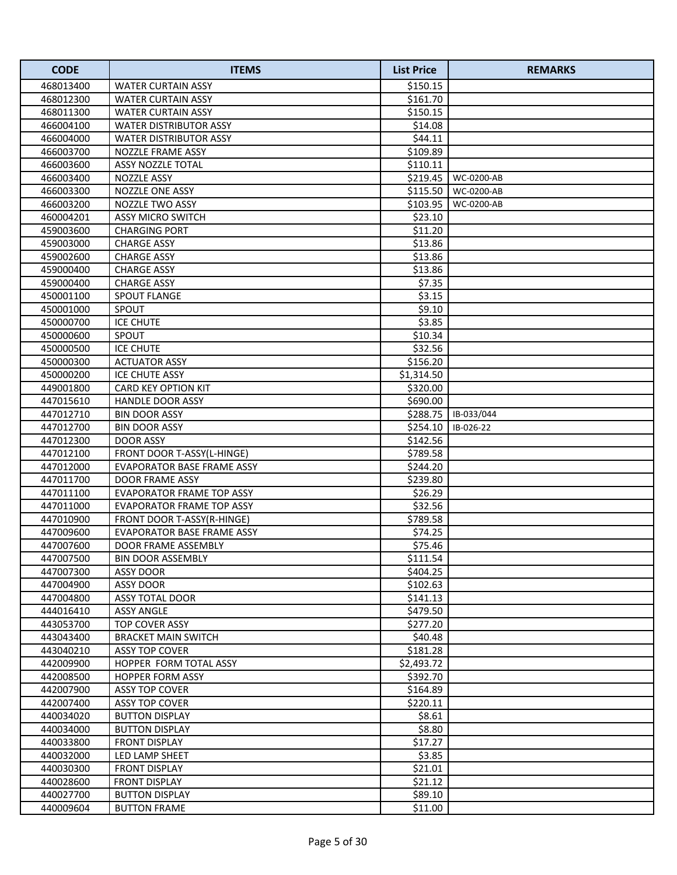| <b>CODE</b>            | <b>ITEMS</b>                           | <b>List Price</b> | <b>REMARKS</b> |
|------------------------|----------------------------------------|-------------------|----------------|
| 468013400              | <b>WATER CURTAIN ASSY</b>              | \$150.15          |                |
| 468012300              | <b>WATER CURTAIN ASSY</b>              | \$161.70          |                |
| 468011300              | <b>WATER CURTAIN ASSY</b>              | \$150.15          |                |
| 466004100              | <b>WATER DISTRIBUTOR ASSY</b>          | \$14.08           |                |
| 466004000              | <b>WATER DISTRIBUTOR ASSY</b>          | \$44.11           |                |
| 466003700              | NOZZLE FRAME ASSY                      | \$109.89          |                |
| 466003600              | ASSY NOZZLE TOTAL                      | \$110.11          |                |
| 466003400              | <b>NOZZLE ASSY</b>                     | \$219.45          | WC-0200-AB     |
| 466003300              | <b>NOZZLE ONE ASSY</b>                 | \$115.50          | WC-0200-AB     |
| 466003200              | <b>NOZZLE TWO ASSY</b>                 | \$103.95          | WC-0200-AB     |
| 460004201              | <b>ASSY MICRO SWITCH</b>               | \$23.10           |                |
| 459003600              | <b>CHARGING PORT</b>                   | \$11.20           |                |
| 459003000              | <b>CHARGE ASSY</b>                     | \$13.86           |                |
| 459002600              | <b>CHARGE ASSY</b>                     | \$13.86           |                |
| 459000400              | <b>CHARGE ASSY</b>                     | \$13.86           |                |
| 459000400              | <b>CHARGE ASSY</b>                     | \$7.35            |                |
| 450001100              | <b>SPOUT FLANGE</b>                    | \$3.15            |                |
| 450001000              | <b>SPOUT</b>                           | \$9.10            |                |
| 450000700              | <b>ICE CHUTE</b>                       | \$3.85            |                |
| 450000600              | SPOUT                                  | \$10.34           |                |
| 450000500              | <b>ICE CHUTE</b>                       | \$32.56           |                |
| 450000300              | <b>ACTUATOR ASSY</b>                   | \$156.20          |                |
| 450000200              | ICE CHUTE ASSY                         | \$1,314.50        |                |
| 449001800              | <b>CARD KEY OPTION KIT</b>             | \$320.00          |                |
| 447015610              | <b>HANDLE DOOR ASSY</b>                | \$690.00          |                |
| 447012710              | <b>BIN DOOR ASSY</b>                   | \$288.75          | IB-033/044     |
| 447012700              | <b>BIN DOOR ASSY</b>                   | \$254.10          | IB-026-22      |
| 447012300              | <b>DOOR ASSY</b>                       | \$142.56          |                |
| 447012100              | FRONT DOOR T-ASSY(L-HINGE)             | \$789.58          |                |
| 447012000              | EVAPORATOR BASE FRAME ASSY             | \$244.20          |                |
| 447011700              | <b>DOOR FRAME ASSY</b>                 | \$239.80          |                |
| 447011100              | <b>EVAPORATOR FRAME TOP ASSY</b>       | \$26.29           |                |
| 447011000              | <b>EVAPORATOR FRAME TOP ASSY</b>       | \$32.56           |                |
| 447010900              | FRONT DOOR T-ASSY(R-HINGE)             | \$789.58          |                |
| 447009600              | <b>EVAPORATOR BASE FRAME ASSY</b>      | \$74.25           |                |
| 447007600              | DOOR FRAME ASSEMBLY                    | \$75.46           |                |
| 447007500              | <b>BIN DOOR ASSEMBLY</b>               | \$111.54          |                |
| 447007300              | ASSY DOOR                              | \$404.25          |                |
| 447004900              | ASSY DOOR                              | \$102.63          |                |
| 447004800              | ASSY TOTAL DOOR                        | \$141.13          |                |
| 444016410              | <b>ASSY ANGLE</b>                      | \$479.50          |                |
| 443053700              | TOP COVER ASSY                         | \$277.20          |                |
| 443043400              | <b>BRACKET MAIN SWITCH</b>             | \$40.48           |                |
| 443040210              | <b>ASSY TOP COVER</b>                  | \$181.28          |                |
| 442009900              | HOPPER FORM TOTAL ASSY                 | \$2,493.72        |                |
| 442008500              | HOPPER FORM ASSY                       | \$392.70          |                |
| 442007900              | <b>ASSY TOP COVER</b>                  | \$164.89          |                |
| 442007400              | <b>ASSY TOP COVER</b>                  | \$220.11          |                |
| 440034020              | <b>BUTTON DISPLAY</b>                  | \$8.61<br>\$8.80  |                |
| 440034000<br>440033800 | <b>BUTTON DISPLAY</b><br>FRONT DISPLAY | \$17.27           |                |
| 440032000              | LED LAMP SHEET                         | \$3.85            |                |
| 440030300              | <b>FRONT DISPLAY</b>                   | \$21.01           |                |
| 440028600              | <b>FRONT DISPLAY</b>                   | \$21.12           |                |
| 440027700              | <b>BUTTON DISPLAY</b>                  | \$89.10           |                |
| 440009604              | <b>BUTTON FRAME</b>                    | \$11.00           |                |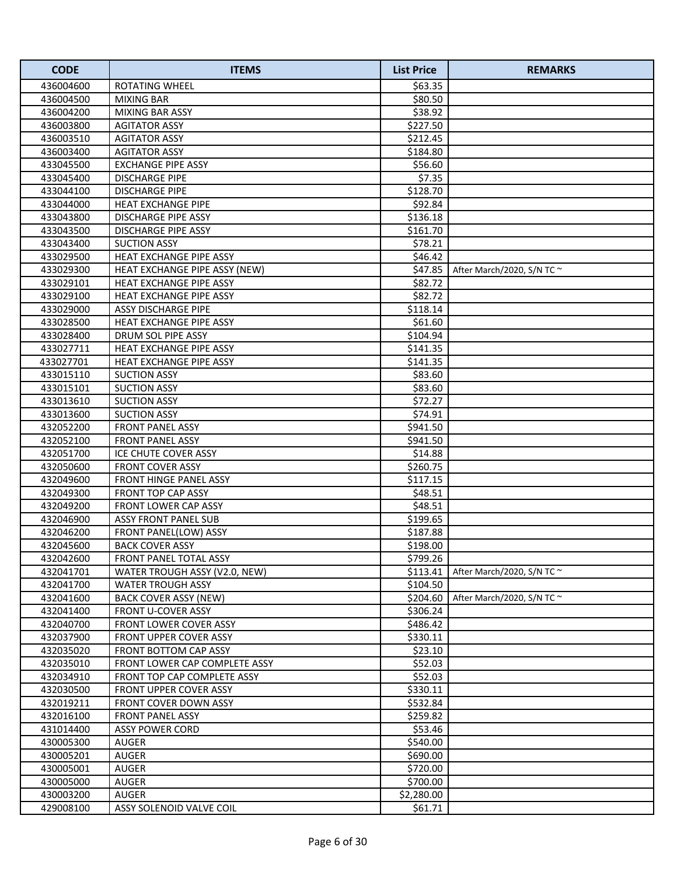| <b>CODE</b> | <b>ITEMS</b>                   | <b>List Price</b> | <b>REMARKS</b>                  |
|-------------|--------------------------------|-------------------|---------------------------------|
| 436004600   | <b>ROTATING WHEEL</b>          | \$63.35           |                                 |
| 436004500   | <b>MIXING BAR</b>              | \$80.50           |                                 |
| 436004200   | MIXING BAR ASSY                | \$38.92           |                                 |
| 436003800   | <b>AGITATOR ASSY</b>           | \$227.50          |                                 |
| 436003510   | <b>AGITATOR ASSY</b>           | \$212.45          |                                 |
| 436003400   | <b>AGITATOR ASSY</b>           | \$184.80          |                                 |
| 433045500   | <b>EXCHANGE PIPE ASSY</b>      | \$56.60           |                                 |
| 433045400   | <b>DISCHARGE PIPE</b>          | \$7.35            |                                 |
| 433044100   | <b>DISCHARGE PIPE</b>          | \$128.70          |                                 |
| 433044000   | <b>HEAT EXCHANGE PIPE</b>      | \$92.84           |                                 |
| 433043800   | DISCHARGE PIPE ASSY            | \$136.18          |                                 |
| 433043500   | DISCHARGE PIPE ASSY            | \$161.70          |                                 |
| 433043400   | <b>SUCTION ASSY</b>            | \$78.21           |                                 |
| 433029500   | HEAT EXCHANGE PIPE ASSY        | \$46.42           |                                 |
| 433029300   | HEAT EXCHANGE PIPE ASSY (NEW)  | \$47.85           | After March/2020, S/N TC ~      |
| 433029101   | <b>HEAT EXCHANGE PIPE ASSY</b> | \$82.72           |                                 |
| 433029100   | <b>HEAT EXCHANGE PIPE ASSY</b> | \$82.72           |                                 |
| 433029000   | <b>ASSY DISCHARGE PIPE</b>     | \$118.14          |                                 |
| 433028500   | <b>HEAT EXCHANGE PIPE ASSY</b> | \$61.60           |                                 |
| 433028400   | DRUM SOL PIPE ASSY             | \$104.94          |                                 |
| 433027711   | <b>HEAT EXCHANGE PIPE ASSY</b> | \$141.35          |                                 |
| 433027701   | HEAT EXCHANGE PIPE ASSY        | \$141.35          |                                 |
| 433015110   | <b>SUCTION ASSY</b>            | \$83.60           |                                 |
| 433015101   | <b>SUCTION ASSY</b>            | \$83.60           |                                 |
| 433013610   | <b>SUCTION ASSY</b>            | \$72.27           |                                 |
| 433013600   | <b>SUCTION ASSY</b>            | \$74.91           |                                 |
| 432052200   | FRONT PANEL ASSY               | \$941.50          |                                 |
| 432052100   | FRONT PANEL ASSY               | \$941.50          |                                 |
| 432051700   | ICE CHUTE COVER ASSY           | \$14.88           |                                 |
| 432050600   | <b>FRONT COVER ASSY</b>        | \$260.75          |                                 |
| 432049600   | FRONT HINGE PANEL ASSY         | \$117.15          |                                 |
| 432049300   | FRONT TOP CAP ASSY             | \$48.51           |                                 |
| 432049200   | FRONT LOWER CAP ASSY           | \$48.51           |                                 |
| 432046900   | <b>ASSY FRONT PANEL SUB</b>    | \$199.65          |                                 |
| 432046200   | FRONT PANEL(LOW) ASSY          | \$187.88          |                                 |
| 432045600   | <b>BACK COVER ASSY</b>         | \$198.00          |                                 |
| 432042600   | FRONT PANEL TOTAL ASSY         | \$799.26          |                                 |
| 432041701   | WATER TROUGH ASSY (V2.0, NEW)  | \$113.41          | After March/2020, S/N TC $\sim$ |
| 432041700   | <b>WATER TROUGH ASSY</b>       | \$104.50          |                                 |
| 432041600   | <b>BACK COVER ASSY (NEW)</b>   | \$204.60          | After March/2020, S/N TC $\sim$ |
| 432041400   | <b>FRONT U-COVER ASSY</b>      | \$306.24          |                                 |
| 432040700   | <b>FRONT LOWER COVER ASSY</b>  | \$486.42          |                                 |
| 432037900   | <b>FRONT UPPER COVER ASSY</b>  | \$330.11          |                                 |
| 432035020   | FRONT BOTTOM CAP ASSY          | \$23.10           |                                 |
| 432035010   | FRONT LOWER CAP COMPLETE ASSY  | \$52.03           |                                 |
| 432034910   | FRONT TOP CAP COMPLETE ASSY    | \$52.03           |                                 |
| 432030500   | <b>FRONT UPPER COVER ASSY</b>  | \$330.11          |                                 |
| 432019211   | FRONT COVER DOWN ASSY          | \$532.84          |                                 |
| 432016100   | <b>FRONT PANEL ASSY</b>        | \$259.82          |                                 |
| 431014400   | <b>ASSY POWER CORD</b>         | \$53.46           |                                 |
| 430005300   | AUGER                          | \$540.00          |                                 |
| 430005201   | AUGER                          | \$690.00          |                                 |
| 430005001   | AUGER                          | \$720.00          |                                 |
| 430005000   | AUGER                          | \$700.00          |                                 |
| 430003200   | AUGER                          | \$2,280.00        |                                 |
| 429008100   | ASSY SOLENOID VALVE COIL       | \$61.71           |                                 |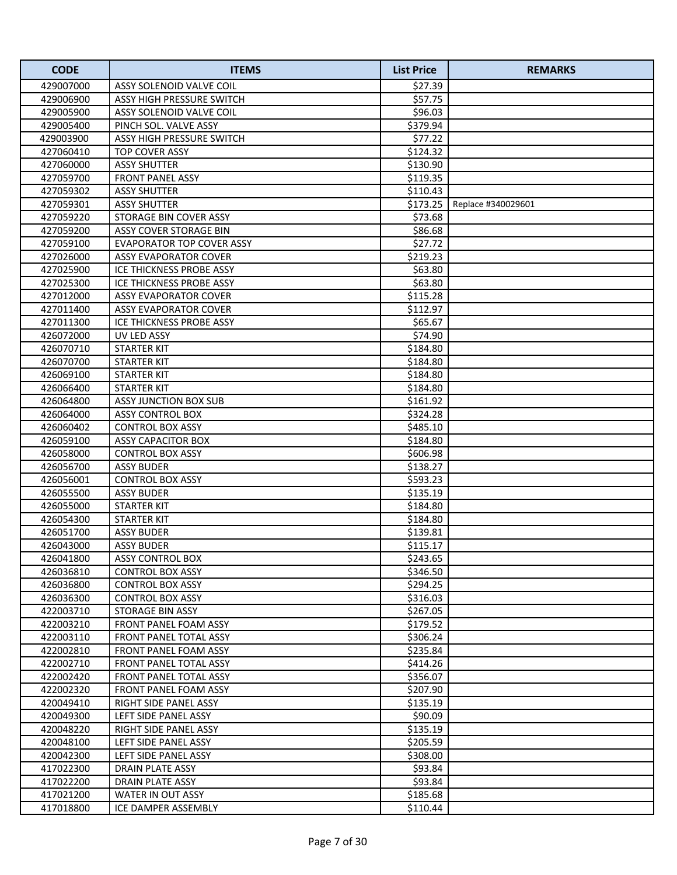| <b>CODE</b> | <b>ITEMS</b>                     | <b>List Price</b> | <b>REMARKS</b>     |
|-------------|----------------------------------|-------------------|--------------------|
| 429007000   | ASSY SOLENOID VALVE COIL         | \$27.39           |                    |
| 429006900   | ASSY HIGH PRESSURE SWITCH        | \$57.75           |                    |
| 429005900   | ASSY SOLENOID VALVE COIL         | \$96.03           |                    |
| 429005400   | PINCH SOL. VALVE ASSY            | \$379.94          |                    |
| 429003900   | ASSY HIGH PRESSURE SWITCH        | \$77.22           |                    |
| 427060410   | <b>TOP COVER ASSY</b>            | \$124.32          |                    |
| 427060000   | <b>ASSY SHUTTER</b>              | \$130.90          |                    |
| 427059700   | <b>FRONT PANEL ASSY</b>          | \$119.35          |                    |
| 427059302   | <b>ASSY SHUTTER</b>              | \$110.43          |                    |
| 427059301   | <b>ASSY SHUTTER</b>              | \$173.25          | Replace #340029601 |
| 427059220   | STORAGE BIN COVER ASSY           | \$73.68           |                    |
| 427059200   | ASSY COVER STORAGE BIN           | \$86.68           |                    |
| 427059100   | <b>EVAPORATOR TOP COVER ASSY</b> | \$27.72           |                    |
| 427026000   | <b>ASSY EVAPORATOR COVER</b>     | \$219.23          |                    |
| 427025900   | ICE THICKNESS PROBE ASSY         | \$63.80           |                    |
| 427025300   | ICE THICKNESS PROBE ASSY         | \$63.80           |                    |
| 427012000   | ASSY EVAPORATOR COVER            | \$115.28          |                    |
| 427011400   | <b>ASSY EVAPORATOR COVER</b>     | \$112.97          |                    |
| 427011300   | <b>ICE THICKNESS PROBE ASSY</b>  | \$65.67           |                    |
| 426072000   | UV LED ASSY                      | \$74.90           |                    |
| 426070710   | <b>STARTER KIT</b>               | \$184.80          |                    |
| 426070700   | <b>STARTER KIT</b>               | \$184.80          |                    |
| 426069100   | <b>STARTER KIT</b>               | \$184.80          |                    |
| 426066400   | <b>STARTER KIT</b>               | \$184.80          |                    |
| 426064800   | ASSY JUNCTION BOX SUB            | \$161.92          |                    |
| 426064000   | <b>ASSY CONTROL BOX</b>          | \$324.28          |                    |
| 426060402   | <b>CONTROL BOX ASSY</b>          | \$485.10          |                    |
| 426059100   | <b>ASSY CAPACITOR BOX</b>        | \$184.80          |                    |
| 426058000   | <b>CONTROL BOX ASSY</b>          | \$606.98          |                    |
| 426056700   | <b>ASSY BUDER</b>                | \$138.27          |                    |
| 426056001   | <b>CONTROL BOX ASSY</b>          | \$593.23          |                    |
| 426055500   | <b>ASSY BUDER</b>                | \$135.19          |                    |
| 426055000   | <b>STARTER KIT</b>               | \$184.80          |                    |
| 426054300   | <b>STARTER KIT</b>               | \$184.80          |                    |
| 426051700   | <b>ASSY BUDER</b>                | \$139.81          |                    |
| 426043000   | <b>ASSY BUDER</b>                | \$115.17          |                    |
| 426041800   | <b>ASSY CONTROL BOX</b>          | \$243.65          |                    |
| 426036810   | <b>CONTROL BOX ASSY</b>          | \$346.50          |                    |
| 426036800   | <b>CONTROL BOX ASSY</b>          | \$294.25          |                    |
| 426036300   | <b>CONTROL BOX ASSY</b>          | \$316.03          |                    |
| 422003710   | STORAGE BIN ASSY                 | \$267.05          |                    |
| 422003210   | FRONT PANEL FOAM ASSY            | \$179.52          |                    |
| 422003110   | <b>FRONT PANEL TOTAL ASSY</b>    | \$306.24          |                    |
| 422002810   | <b>FRONT PANEL FOAM ASSY</b>     | \$235.84          |                    |
| 422002710   | FRONT PANEL TOTAL ASSY           | \$414.26          |                    |
| 422002420   | FRONT PANEL TOTAL ASSY           | \$356.07          |                    |
| 422002320   | FRONT PANEL FOAM ASSY            | \$207.90          |                    |
| 420049410   | RIGHT SIDE PANEL ASSY            | \$135.19          |                    |
| 420049300   | LEFT SIDE PANEL ASSY             | \$90.09           |                    |
| 420048220   | RIGHT SIDE PANEL ASSY            | \$135.19          |                    |
| 420048100   | LEFT SIDE PANEL ASSY             | \$205.59          |                    |
| 420042300   | LEFT SIDE PANEL ASSY             | \$308.00          |                    |
| 417022300   | DRAIN PLATE ASSY                 | \$93.84           |                    |
| 417022200   | DRAIN PLATE ASSY                 | \$93.84           |                    |
| 417021200   | WATER IN OUT ASSY                | \$185.68          |                    |
| 417018800   | ICE DAMPER ASSEMBLY              | \$110.44          |                    |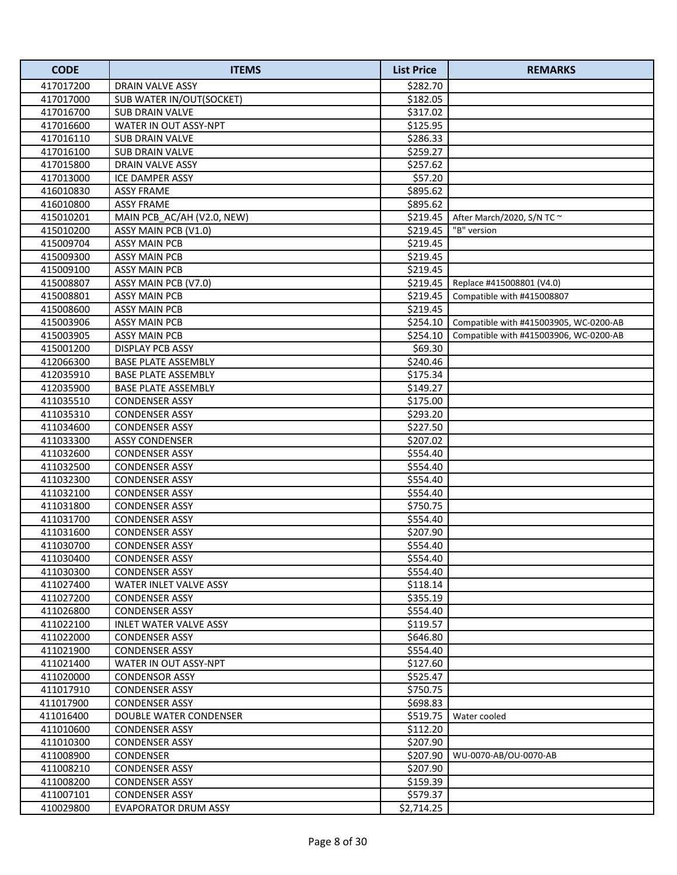| <b>CODE</b> | <b>ITEMS</b>                  | <b>List Price</b> | <b>REMARKS</b>                         |
|-------------|-------------------------------|-------------------|----------------------------------------|
| 417017200   | DRAIN VALVE ASSY              | \$282.70          |                                        |
| 417017000   | SUB WATER IN/OUT(SOCKET)      | \$182.05          |                                        |
| 417016700   | <b>SUB DRAIN VALVE</b>        | \$317.02          |                                        |
| 417016600   | WATER IN OUT ASSY-NPT         | \$125.95          |                                        |
| 417016110   | <b>SUB DRAIN VALVE</b>        | \$286.33          |                                        |
| 417016100   | <b>SUB DRAIN VALVE</b>        | \$259.27          |                                        |
| 417015800   | DRAIN VALVE ASSY              | \$257.62          |                                        |
| 417013000   | <b>ICE DAMPER ASSY</b>        | \$57.20           |                                        |
| 416010830   | <b>ASSY FRAME</b>             | \$895.62          |                                        |
| 416010800   | <b>ASSY FRAME</b>             | \$895.62          |                                        |
| 415010201   | MAIN PCB_AC/AH (V2.0, NEW)    | \$219.45          | After March/2020, S/N TC ~             |
| 415010200   | ASSY MAIN PCB (V1.0)          | \$219.45          | "B" version                            |
| 415009704   | <b>ASSY MAIN PCB</b>          | \$219.45          |                                        |
| 415009300   | <b>ASSY MAIN PCB</b>          | \$219.45          |                                        |
| 415009100   | <b>ASSY MAIN PCB</b>          | \$219.45          |                                        |
| 415008807   | ASSY MAIN PCB (V7.0)          | \$219.45          | Replace #415008801 (V4.0)              |
| 415008801   | <b>ASSY MAIN PCB</b>          | \$219.45          | Compatible with #415008807             |
| 415008600   | <b>ASSY MAIN PCB</b>          | \$219.45          |                                        |
| 415003906   | <b>ASSY MAIN PCB</b>          | \$254.10          | Compatible with #415003905, WC-0200-AB |
| 415003905   | <b>ASSY MAIN PCB</b>          | \$254.10          | Compatible with #415003906, WC-0200-AB |
| 415001200   | <b>DISPLAY PCB ASSY</b>       | \$69.30           |                                        |
| 412066300   | <b>BASE PLATE ASSEMBLY</b>    | \$240.46          |                                        |
| 412035910   | <b>BASE PLATE ASSEMBLY</b>    | \$175.34          |                                        |
| 412035900   | <b>BASE PLATE ASSEMBLY</b>    | \$149.27          |                                        |
| 411035510   | <b>CONDENSER ASSY</b>         | \$175.00          |                                        |
| 411035310   | <b>CONDENSER ASSY</b>         | \$293.20          |                                        |
| 411034600   | <b>CONDENSER ASSY</b>         | \$227.50          |                                        |
| 411033300   | <b>ASSY CONDENSER</b>         | \$207.02          |                                        |
| 411032600   | <b>CONDENSER ASSY</b>         | \$554.40          |                                        |
| 411032500   | <b>CONDENSER ASSY</b>         | \$554.40          |                                        |
| 411032300   | <b>CONDENSER ASSY</b>         | \$554.40          |                                        |
| 411032100   | <b>CONDENSER ASSY</b>         | \$554.40          |                                        |
| 411031800   | <b>CONDENSER ASSY</b>         | \$750.75          |                                        |
| 411031700   | <b>CONDENSER ASSY</b>         | \$554.40          |                                        |
| 411031600   | <b>CONDENSER ASSY</b>         | \$207.90          |                                        |
| 411030700   | <b>CONDENSER ASSY</b>         | \$554.40          |                                        |
| 411030400   | <b>CONDENSER ASSY</b>         | \$554.40          |                                        |
| 411030300   | <b>CONDENSER ASSY</b>         | \$554.40          |                                        |
| 411027400   | WATER INLET VALVE ASSY        | \$118.14          |                                        |
| 411027200   | <b>CONDENSER ASSY</b>         | \$355.19          |                                        |
| 411026800   | <b>CONDENSER ASSY</b>         | \$554.40          |                                        |
| 411022100   | <b>INLET WATER VALVE ASSY</b> | \$119.57          |                                        |
| 411022000   | <b>CONDENSER ASSY</b>         | \$646.80          |                                        |
| 411021900   | <b>CONDENSER ASSY</b>         | \$554.40          |                                        |
| 411021400   | WATER IN OUT ASSY-NPT         | \$127.60          |                                        |
| 411020000   | <b>CONDENSOR ASSY</b>         | \$525.47          |                                        |
| 411017910   | <b>CONDENSER ASSY</b>         | \$750.75          |                                        |
| 411017900   | <b>CONDENSER ASSY</b>         | \$698.83          |                                        |
| 411016400   | DOUBLE WATER CONDENSER        | \$519.75          | Water cooled                           |
| 411010600   | <b>CONDENSER ASSY</b>         | \$112.20          |                                        |
| 411010300   | <b>CONDENSER ASSY</b>         | \$207.90          |                                        |
| 411008900   | <b>CONDENSER</b>              | \$207.90          | WU-0070-AB/OU-0070-AB                  |
| 411008210   | <b>CONDENSER ASSY</b>         | \$207.90          |                                        |
| 411008200   | <b>CONDENSER ASSY</b>         | \$159.39          |                                        |
| 411007101   | <b>CONDENSER ASSY</b>         | \$579.37          |                                        |
| 410029800   | <b>EVAPORATOR DRUM ASSY</b>   | \$2,714.25        |                                        |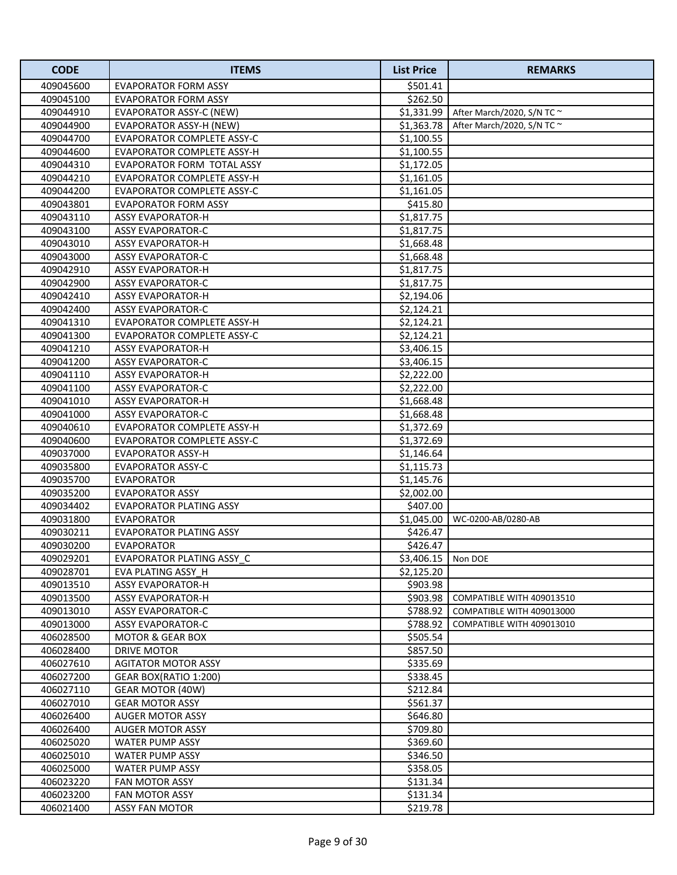| <b>CODE</b> | <b>ITEMS</b>                      | <b>List Price</b> | <b>REMARKS</b>                  |
|-------------|-----------------------------------|-------------------|---------------------------------|
| 409045600   | EVAPORATOR FORM ASSY              | \$501.41          |                                 |
| 409045100   | EVAPORATOR FORM ASSY              | \$262.50          |                                 |
| 409044910   | EVAPORATOR ASSY-C (NEW)           | \$1,331.99        | After March/2020, S/N TC $\sim$ |
| 409044900   | <b>EVAPORATOR ASSY-H (NEW)</b>    | \$1,363.78        | After March/2020, S/N TC $\sim$ |
| 409044700   | EVAPORATOR COMPLETE ASSY-C        | \$1,100.55        |                                 |
| 409044600   | EVAPORATOR COMPLETE ASSY-H        | \$1,100.55        |                                 |
| 409044310   | EVAPORATOR FORM TOTAL ASSY        | \$1,172.05        |                                 |
| 409044210   | EVAPORATOR COMPLETE ASSY-H        | \$1,161.05        |                                 |
| 409044200   | <b>EVAPORATOR COMPLETE ASSY-C</b> | \$1,161.05        |                                 |
| 409043801   | <b>EVAPORATOR FORM ASSY</b>       | \$415.80          |                                 |
| 409043110   | <b>ASSY EVAPORATOR-H</b>          | \$1,817.75        |                                 |
| 409043100   | <b>ASSY EVAPORATOR-C</b>          | \$1,817.75        |                                 |
| 409043010   | <b>ASSY EVAPORATOR-H</b>          | \$1,668.48        |                                 |
| 409043000   | <b>ASSY EVAPORATOR-C</b>          | \$1,668.48        |                                 |
| 409042910   | <b>ASSY EVAPORATOR-H</b>          | \$1,817.75        |                                 |
| 409042900   | <b>ASSY EVAPORATOR-C</b>          | \$1,817.75        |                                 |
| 409042410   | <b>ASSY EVAPORATOR-H</b>          | \$2,194.06        |                                 |
| 409042400   | <b>ASSY EVAPORATOR-C</b>          | \$2,124.21        |                                 |
| 409041310   | EVAPORATOR COMPLETE ASSY-H        | \$2,124.21        |                                 |
| 409041300   | <b>EVAPORATOR COMPLETE ASSY-C</b> | \$2,124.21        |                                 |
| 409041210   | ASSY EVAPORATOR-H                 | \$3,406.15        |                                 |
| 409041200   | <b>ASSY EVAPORATOR-C</b>          | \$3,406.15        |                                 |
| 409041110   | <b>ASSY EVAPORATOR-H</b>          | \$2,222.00        |                                 |
| 409041100   | <b>ASSY EVAPORATOR-C</b>          | \$2,222.00        |                                 |
| 409041010   | <b>ASSY EVAPORATOR-H</b>          | \$1,668.48        |                                 |
| 409041000   | <b>ASSY EVAPORATOR-C</b>          | \$1,668.48        |                                 |
| 409040610   | EVAPORATOR COMPLETE ASSY-H        | \$1,372.69        |                                 |
| 409040600   | <b>EVAPORATOR COMPLETE ASSY-C</b> | \$1,372.69        |                                 |
| 409037000   | <b>EVAPORATOR ASSY-H</b>          | \$1,146.64        |                                 |
| 409035800   | <b>EVAPORATOR ASSY-C</b>          | \$1,115.73        |                                 |
| 409035700   | <b>EVAPORATOR</b>                 | \$1,145.76        |                                 |
| 409035200   | <b>EVAPORATOR ASSY</b>            | \$2,002.00        |                                 |
| 409034402   | <b>EVAPORATOR PLATING ASSY</b>    | \$407.00          |                                 |
| 409031800   | <b>EVAPORATOR</b>                 | \$1,045.00        | WC-0200-AB/0280-AB              |
| 409030211   | <b>EVAPORATOR PLATING ASSY</b>    | \$426.47          |                                 |
| 409030200   | <b>EVAPORATOR</b>                 | \$426.47          |                                 |
| 409029201   | EVAPORATOR PLATING ASSY_C         | \$3,406.15        | Non DOE                         |
| 409028701   | <b>EVA PLATING ASSY H</b>         | \$2,125.20        |                                 |
| 409013510   | <b>ASSY EVAPORATOR-H</b>          | \$903.98          |                                 |
| 409013500   | <b>ASSY EVAPORATOR-H</b>          | \$903.98          | COMPATIBLE WITH 409013510       |
| 409013010   | <b>ASSY EVAPORATOR-C</b>          | \$788.92          | COMPATIBLE WITH 409013000       |
| 409013000   | <b>ASSY EVAPORATOR-C</b>          | \$788.92          | COMPATIBLE WITH 409013010       |
| 406028500   | MOTOR & GEAR BOX                  | \$505.54          |                                 |
| 406028400   | DRIVE MOTOR                       | \$857.50          |                                 |
| 406027610   | <b>AGITATOR MOTOR ASSY</b>        | \$335.69          |                                 |
| 406027200   | GEAR BOX(RATIO 1:200)             | \$338.45          |                                 |
| 406027110   | <b>GEAR MOTOR (40W)</b>           | \$212.84          |                                 |
| 406027010   | <b>GEAR MOTOR ASSY</b>            | \$561.37          |                                 |
| 406026400   | <b>AUGER MOTOR ASSY</b>           | \$646.80          |                                 |
| 406026400   | AUGER MOTOR ASSY                  | \$709.80          |                                 |
| 406025020   | WATER PUMP ASSY                   | \$369.60          |                                 |
| 406025010   | WATER PUMP ASSY                   | \$346.50          |                                 |
| 406025000   | WATER PUMP ASSY                   | \$358.05          |                                 |
| 406023220   | <b>FAN MOTOR ASSY</b>             | \$131.34          |                                 |
| 406023200   | FAN MOTOR ASSY                    | \$131.34          |                                 |
| 406021400   | ASSY FAN MOTOR                    | \$219.78          |                                 |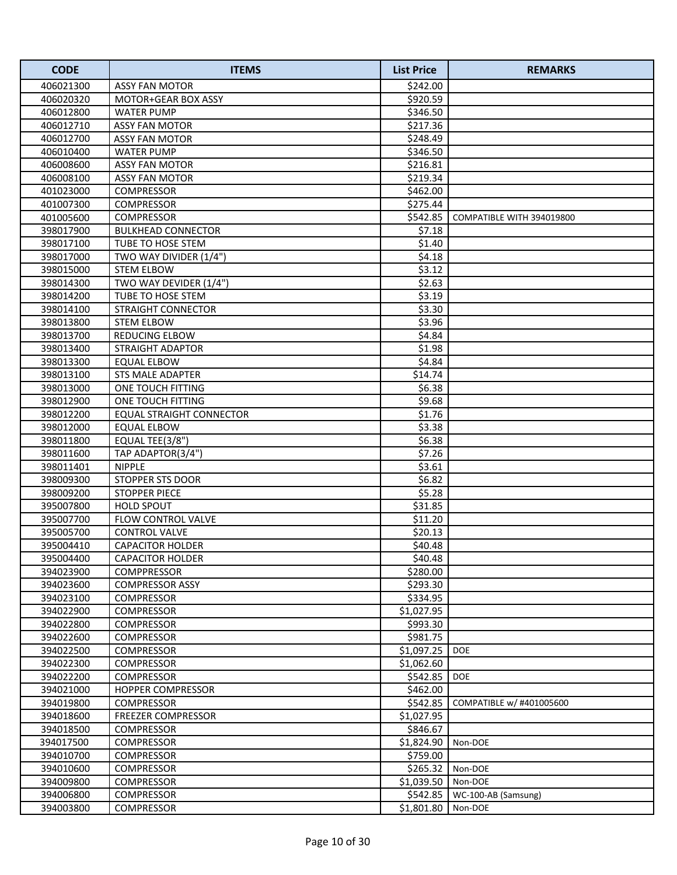| <b>CODE</b> | <b>ITEMS</b>                    | <b>List Price</b> | <b>REMARKS</b>            |
|-------------|---------------------------------|-------------------|---------------------------|
| 406021300   | <b>ASSY FAN MOTOR</b>           | \$242.00          |                           |
| 406020320   | MOTOR+GEAR BOX ASSY             | \$920.59          |                           |
| 406012800   | <b>WATER PUMP</b>               | \$346.50          |                           |
| 406012710   | <b>ASSY FAN MOTOR</b>           | \$217.36          |                           |
| 406012700   | <b>ASSY FAN MOTOR</b>           | \$248.49          |                           |
| 406010400   | <b>WATER PUMP</b>               | \$346.50          |                           |
| 406008600   | <b>ASSY FAN MOTOR</b>           | \$216.81          |                           |
| 406008100   | <b>ASSY FAN MOTOR</b>           | \$219.34          |                           |
| 401023000   | <b>COMPRESSOR</b>               | \$462.00          |                           |
| 401007300   | <b>COMPRESSOR</b>               | \$275.44          |                           |
| 401005600   | COMPRESSOR                      | \$542.85          | COMPATIBLE WITH 394019800 |
| 398017900   | <b>BULKHEAD CONNECTOR</b>       | \$7.18            |                           |
| 398017100   | TUBE TO HOSE STEM               | \$1.40            |                           |
| 398017000   | TWO WAY DIVIDER (1/4")          | \$4.18            |                           |
| 398015000   | <b>STEM ELBOW</b>               | \$3.12            |                           |
| 398014300   | TWO WAY DEVIDER (1/4")          | \$2.63            |                           |
| 398014200   | TUBE TO HOSE STEM               | \$3.19            |                           |
| 398014100   | <b>STRAIGHT CONNECTOR</b>       | \$3.30            |                           |
| 398013800   | <b>STEM ELBOW</b>               | \$3.96            |                           |
| 398013700   | <b>REDUCING ELBOW</b>           | \$4.84            |                           |
| 398013400   | <b>STRAIGHT ADAPTOR</b>         | \$1.98            |                           |
| 398013300   | <b>EQUAL ELBOW</b>              | \$4.84            |                           |
| 398013100   | STS MALE ADAPTER                | \$14.74           |                           |
| 398013000   | ONE TOUCH FITTING               | \$6.38            |                           |
| 398012900   | ONE TOUCH FITTING               | \$9.68            |                           |
| 398012200   | <b>EQUAL STRAIGHT CONNECTOR</b> | \$1.76            |                           |
| 398012000   | <b>EQUAL ELBOW</b>              | \$3.38            |                           |
| 398011800   | EQUAL TEE(3/8")                 | \$6.38            |                           |
| 398011600   | TAP ADAPTOR(3/4")               | \$7.26            |                           |
| 398011401   | <b>NIPPLE</b>                   | \$3.61            |                           |
| 398009300   | STOPPER STS DOOR                | \$6.82            |                           |
| 398009200   | <b>STOPPER PIECE</b>            | \$5.28            |                           |
| 395007800   | <b>HOLD SPOUT</b>               | \$31.85           |                           |
| 395007700   | FLOW CONTROL VALVE              | \$11.20           |                           |
| 395005700   | <b>CONTROL VALVE</b>            | \$20.13           |                           |
| 395004410   | <b>CAPACITOR HOLDER</b>         | \$40.48           |                           |
| 395004400   | <b>CAPACITOR HOLDER</b>         | \$40.48           |                           |
| 394023900   | <b>COMPPRESSOR</b>              | \$280.00          |                           |
| 394023600   | <b>COMPRESSOR ASSY</b>          | \$293.30          |                           |
| 394023100   | <b>COMPRESSOR</b>               | \$334.95          |                           |
| 394022900   | <b>COMPRESSOR</b>               | \$1,027.95        |                           |
| 394022800   | <b>COMPRESSOR</b>               | \$993.30          |                           |
| 394022600   | <b>COMPRESSOR</b>               | \$981.75          |                           |
| 394022500   | <b>COMPRESSOR</b>               | \$1,097.25        | <b>DOE</b>                |
| 394022300   | <b>COMPRESSOR</b>               | \$1,062.60        |                           |
| 394022200   | <b>COMPRESSOR</b>               | \$542.85          | <b>DOE</b>                |
| 394021000   | <b>HOPPER COMPRESSOR</b>        | \$462.00          |                           |
| 394019800   | COMPRESSOR                      | \$542.85          | COMPATIBLE w/ #401005600  |
| 394018600   | <b>FREEZER COMPRESSOR</b>       | \$1,027.95        |                           |
| 394018500   | <b>COMPRESSOR</b>               | \$846.67          |                           |
| 394017500   | <b>COMPRESSOR</b>               | \$1,824.90        | Non-DOE                   |
| 394010700   | <b>COMPRESSOR</b>               | \$759.00          |                           |
| 394010600   | <b>COMPRESSOR</b>               | \$265.32          | Non-DOE                   |
| 394009800   | <b>COMPRESSOR</b>               | \$1,039.50        | Non-DOE                   |
| 394006800   | <b>COMPRESSOR</b>               | \$542.85          | WC-100-AB (Samsung)       |
| 394003800   | <b>COMPRESSOR</b>               | \$1,801.80        | Non-DOE                   |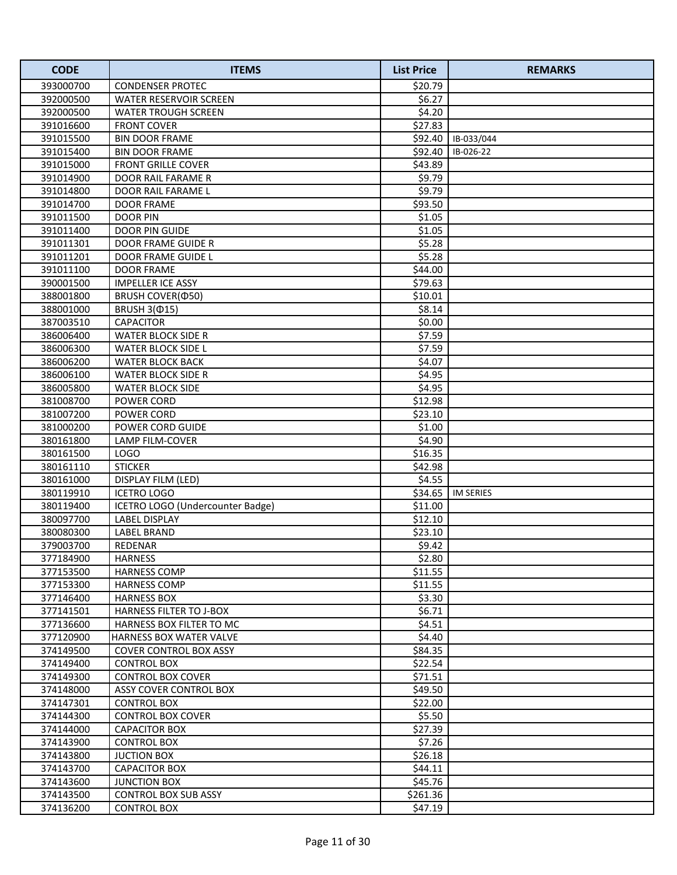| <b>CODE</b> | <b>ITEMS</b>                     | <b>List Price</b> | <b>REMARKS</b>    |
|-------------|----------------------------------|-------------------|-------------------|
| 393000700   | <b>CONDENSER PROTEC</b>          | \$20.79           |                   |
| 392000500   | WATER RESERVOIR SCREEN           | \$6.27            |                   |
| 392000500   | <b>WATER TROUGH SCREEN</b>       | \$4.20            |                   |
| 391016600   | <b>FRONT COVER</b>               | \$27.83           |                   |
| 391015500   | <b>BIN DOOR FRAME</b>            |                   | \$92.40 B-033/044 |
| 391015400   | <b>BIN DOOR FRAME</b>            | \$92.40           | IB-026-22         |
| 391015000   | <b>FRONT GRILLE COVER</b>        | \$43.89           |                   |
| 391014900   | <b>DOOR RAIL FARAME R</b>        | \$9.79            |                   |
| 391014800   | DOOR RAIL FARAME L               | \$9.79            |                   |
| 391014700   | <b>DOOR FRAME</b>                | \$93.50           |                   |
| 391011500   | <b>DOOR PIN</b>                  | \$1.05            |                   |
| 391011400   | DOOR PIN GUIDE                   | \$1.05            |                   |
| 391011301   | DOOR FRAME GUIDE R               | \$5.28            |                   |
| 391011201   | DOOR FRAME GUIDE L               | \$5.28            |                   |
| 391011100   | <b>DOOR FRAME</b>                | \$44.00           |                   |
| 390001500   | <b>IMPELLER ICE ASSY</b>         | \$79.63           |                   |
| 388001800   | BRUSH COVER(Ф50)                 | \$10.01           |                   |
| 388001000   | <b>BRUSH 3(015)</b>              | \$8.14            |                   |
| 387003510   | <b>CAPACITOR</b>                 | \$0.00            |                   |
| 386006400   | <b>WATER BLOCK SIDE R</b>        | \$7.59            |                   |
| 386006300   | <b>WATER BLOCK SIDE L</b>        | \$7.59            |                   |
| 386006200   | <b>WATER BLOCK BACK</b>          | \$4.07            |                   |
| 386006100   | <b>WATER BLOCK SIDE R</b>        | \$4.95            |                   |
| 386005800   | <b>WATER BLOCK SIDE</b>          | \$4.95            |                   |
| 381008700   | POWER CORD                       | \$12.98           |                   |
| 381007200   | POWER CORD                       | \$23.10           |                   |
| 381000200   | POWER CORD GUIDE                 | \$1.00            |                   |
| 380161800   | LAMP FILM-COVER                  | \$4.90            |                   |
| 380161500   | <b>LOGO</b>                      | \$16.35           |                   |
| 380161110   | <b>STICKER</b>                   | \$42.98           |                   |
| 380161000   | DISPLAY FILM (LED)               | \$4.55            |                   |
| 380119910   | <b>ICETRO LOGO</b>               | \$34.65           | <b>IM SERIES</b>  |
| 380119400   | ICETRO LOGO (Undercounter Badge) | \$11.00           |                   |
| 380097700   | <b>LABEL DISPLAY</b>             | \$12.10           |                   |
| 380080300   | <b>LABEL BRAND</b>               | \$23.10           |                   |
| 379003700   | REDENAR                          | \$9.42            |                   |
| 377184900   | <b>HARNESS</b>                   | \$2.80            |                   |
| 377153500   | <b>HARNESS COMP</b>              | \$11.55           |                   |
| 377153300   | <b>HARNESS COMP</b>              | \$11.55           |                   |
| 377146400   | <b>HARNESS BOX</b>               | \$3.30            |                   |
| 377141501   | <b>HARNESS FILTER TO J-BOX</b>   | \$6.71            |                   |
| 377136600   | HARNESS BOX FILTER TO MC         | \$4.51            |                   |
| 377120900   | HARNESS BOX WATER VALVE          | \$4.40            |                   |
| 374149500   | COVER CONTROL BOX ASSY           | \$84.35           |                   |
| 374149400   | <b>CONTROL BOX</b>               | \$22.54           |                   |
| 374149300   | <b>CONTROL BOX COVER</b>         | \$71.51           |                   |
| 374148000   | ASSY COVER CONTROL BOX           | \$49.50           |                   |
| 374147301   | <b>CONTROL BOX</b>               | \$22.00           |                   |
| 374144300   | CONTROL BOX COVER                | \$5.50            |                   |
| 374144000   | <b>CAPACITOR BOX</b>             | \$27.39           |                   |
| 374143900   | CONTROL BOX                      | \$7.26            |                   |
| 374143800   | <b>JUCTION BOX</b>               | \$26.18           |                   |
| 374143700   | <b>CAPACITOR BOX</b>             | \$44.11           |                   |
| 374143600   | <b>JUNCTION BOX</b>              | \$45.76           |                   |
| 374143500   | <b>CONTROL BOX SUB ASSY</b>      | \$261.36          |                   |
| 374136200   | <b>CONTROL BOX</b>               | \$47.19           |                   |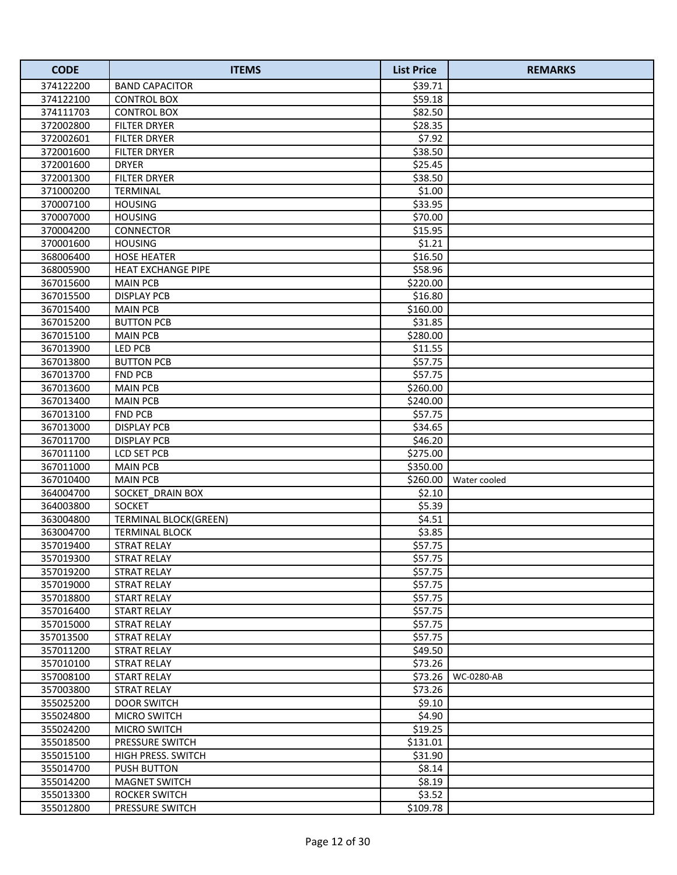| <b>CODE</b> | <b>ITEMS</b>                 | <b>List Price</b> | <b>REMARKS</b> |
|-------------|------------------------------|-------------------|----------------|
| 374122200   | <b>BAND CAPACITOR</b>        | \$39.71           |                |
| 374122100   | <b>CONTROL BOX</b>           | \$59.18           |                |
| 374111703   | <b>CONTROL BOX</b>           | \$82.50           |                |
| 372002800   | <b>FILTER DRYER</b>          | \$28.35           |                |
| 372002601   | <b>FILTER DRYER</b>          | \$7.92            |                |
| 372001600   | <b>FILTER DRYER</b>          | \$38.50           |                |
| 372001600   | <b>DRYER</b>                 | \$25.45           |                |
| 372001300   | <b>FILTER DRYER</b>          | \$38.50           |                |
| 371000200   | <b>TERMINAL</b>              | \$1.00            |                |
| 370007100   | <b>HOUSING</b>               | \$33.95           |                |
| 370007000   | <b>HOUSING</b>               | \$70.00           |                |
| 370004200   | CONNECTOR                    | \$15.95           |                |
| 370001600   | <b>HOUSING</b>               | \$1.21            |                |
| 368006400   | <b>HOSE HEATER</b>           | \$16.50           |                |
| 368005900   | <b>HEAT EXCHANGE PIPE</b>    | \$58.96           |                |
| 367015600   | <b>MAIN PCB</b>              | \$220.00          |                |
| 367015500   | <b>DISPLAY PCB</b>           | \$16.80           |                |
| 367015400   | <b>MAIN PCB</b>              | \$160.00          |                |
| 367015200   | <b>BUTTON PCB</b>            | \$31.85           |                |
| 367015100   | <b>MAIN PCB</b>              | \$280.00          |                |
| 367013900   | LED PCB                      | \$11.55           |                |
| 367013800   | <b>BUTTON PCB</b>            | \$57.75           |                |
| 367013700   | <b>FND PCB</b>               | \$57.75           |                |
| 367013600   | <b>MAIN PCB</b>              | \$260.00          |                |
| 367013400   | <b>MAIN PCB</b>              | \$240.00          |                |
| 367013100   | <b>FND PCB</b>               | \$57.75           |                |
| 367013000   | <b>DISPLAY PCB</b>           | \$34.65           |                |
| 367011700   | <b>DISPLAY PCB</b>           | \$46.20           |                |
| 367011100   | LCD SET PCB                  | \$275.00          |                |
| 367011000   | <b>MAIN PCB</b>              | \$350.00          |                |
| 367010400   | <b>MAIN PCB</b>              | \$260.00          | Water cooled   |
| 364004700   | SOCKET_DRAIN BOX             | \$2.10            |                |
| 364003800   | <b>SOCKET</b>                | \$5.39            |                |
| 363004800   | <b>TERMINAL BLOCK(GREEN)</b> | \$4.51            |                |
| 363004700   | <b>TERMINAL BLOCK</b>        | \$3.85            |                |
| 357019400   | <b>STRAT RELAY</b>           | \$57.75           |                |
| 357019300   | <b>STRAT RELAY</b>           | \$57.75           |                |
| 357019200   | <b>STRAT RELAY</b>           | \$57.75           |                |
| 357019000   | <b>STRAT RELAY</b>           | \$57.75           |                |
| 357018800   | <b>START RELAY</b>           | \$57.75           |                |
| 357016400   | <b>START RELAY</b>           | \$57.75           |                |
| 357015000   | <b>STRAT RELAY</b>           | \$57.75           |                |
| 357013500   | <b>STRAT RELAY</b>           | \$57.75           |                |
| 357011200   | <b>STRAT RELAY</b>           | \$49.50           |                |
| 357010100   | <b>STRAT RELAY</b>           | \$73.26           |                |
| 357008100   | START RELAY                  | \$73.26           | WC-0280-AB     |
| 357003800   | STRAT RELAY                  | \$73.26           |                |
| 355025200   | <b>DOOR SWITCH</b>           | \$9.10            |                |
| 355024800   | <b>MICRO SWITCH</b>          | \$4.90            |                |
| 355024200   | <b>MICRO SWITCH</b>          | \$19.25           |                |
| 355018500   | <b>PRESSURE SWITCH</b>       | \$131.01          |                |
| 355015100   | HIGH PRESS. SWITCH           | \$31.90           |                |
| 355014700   | <b>PUSH BUTTON</b>           | \$8.14            |                |
| 355014200   | <b>MAGNET SWITCH</b>         | \$8.19            |                |
| 355013300   | <b>ROCKER SWITCH</b>         | \$3.52            |                |
| 355012800   | PRESSURE SWITCH              | \$109.78          |                |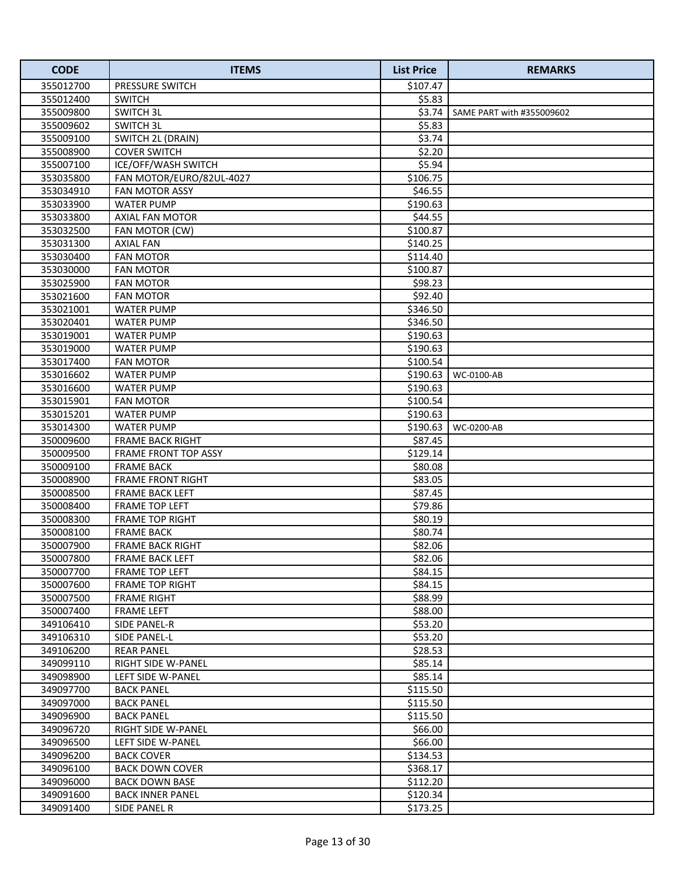| <b>CODE</b>            | <b>ITEMS</b>                                 | <b>List Price</b>  | <b>REMARKS</b>            |
|------------------------|----------------------------------------------|--------------------|---------------------------|
| 355012700              | PRESSURE SWITCH                              | \$107.47           |                           |
| 355012400              | <b>SWITCH</b>                                | \$5.83             |                           |
| 355009800              | <b>SWITCH 3L</b>                             | \$3.74             | SAME PART with #355009602 |
| 355009602              | <b>SWITCH 3L</b>                             | \$5.83             |                           |
| 355009100              | SWITCH 2L (DRAIN)                            | \$3.74             |                           |
| 355008900              | <b>COVER SWITCH</b>                          | \$2.20             |                           |
| 355007100              | ICE/OFF/WASH SWITCH                          | \$5.94             |                           |
| 353035800              | FAN MOTOR/EURO/82UL-4027                     | \$106.75           |                           |
| 353034910              | <b>FAN MOTOR ASSY</b>                        | \$46.55            |                           |
| 353033900              | <b>WATER PUMP</b>                            | \$190.63           |                           |
| 353033800              | AXIAL FAN MOTOR                              | \$44.55            |                           |
| 353032500              | FAN MOTOR (CW)                               | \$100.87           |                           |
| 353031300              | <b>AXIAL FAN</b>                             | \$140.25           |                           |
| 353030400              | <b>FAN MOTOR</b>                             | \$114.40           |                           |
| 353030000              | <b>FAN MOTOR</b>                             | \$100.87           |                           |
| 353025900              | <b>FAN MOTOR</b>                             | \$98.23            |                           |
| 353021600              | <b>FAN MOTOR</b>                             | \$92.40            |                           |
| 353021001              | <b>WATER PUMP</b>                            | \$346.50           |                           |
| 353020401              | <b>WATER PUMP</b>                            | \$346.50           |                           |
| 353019001              | <b>WATER PUMP</b>                            | \$190.63           |                           |
| 353019000              | <b>WATER PUMP</b>                            | \$190.63           |                           |
| 353017400              | <b>FAN MOTOR</b>                             | \$100.54           |                           |
| 353016602              | <b>WATER PUMP</b>                            | \$190.63           | WC-0100-AB                |
| 353016600              | <b>WATER PUMP</b>                            | \$190.63           |                           |
| 353015901              | <b>FAN MOTOR</b>                             | \$100.54           |                           |
| 353015201              | <b>WATER PUMP</b>                            | \$190.63           |                           |
| 353014300              | <b>WATER PUMP</b>                            | \$190.63           | WC-0200-AB                |
| 350009600              | <b>FRAME BACK RIGHT</b>                      | \$87.45            |                           |
| 350009500              | FRAME FRONT TOP ASSY                         | \$129.14           |                           |
| 350009100              | <b>FRAME BACK</b>                            | \$80.08            |                           |
| 350008900              | <b>FRAME FRONT RIGHT</b>                     | \$83.05            |                           |
| 350008500              | FRAME BACK LEFT                              | \$87.45            |                           |
| 350008400              | FRAME TOP LEFT                               | \$79.86            |                           |
| 350008300              | <b>FRAME TOP RIGHT</b>                       | \$80.19            |                           |
| 350008100<br>350007900 | <b>FRAME BACK</b><br><b>FRAME BACK RIGHT</b> | \$80.74<br>\$82.06 |                           |
| 350007800              | <b>FRAME BACK LEFT</b>                       | \$82.06            |                           |
| 350007700              | <b>FRAME TOP LEFT</b>                        | \$84.15            |                           |
| 350007600              | <b>FRAME TOP RIGHT</b>                       | \$84.15            |                           |
| 350007500              | <b>FRAME RIGHT</b>                           | \$88.99            |                           |
| 350007400              | <b>FRAME LEFT</b>                            | \$88.00            |                           |
| 349106410              | SIDE PANEL-R                                 | \$53.20            |                           |
| 349106310              | SIDE PANEL-L                                 | \$53.20            |                           |
| 349106200              | <b>REAR PANEL</b>                            | \$28.53            |                           |
| 349099110              | RIGHT SIDE W-PANEL                           | \$85.14            |                           |
| 349098900              | LEFT SIDE W-PANEL                            | \$85.14            |                           |
| 349097700              | <b>BACK PANEL</b>                            | \$115.50           |                           |
| 349097000              | <b>BACK PANEL</b>                            | \$115.50           |                           |
| 349096900              | <b>BACK PANEL</b>                            | \$115.50           |                           |
| 349096720              | RIGHT SIDE W-PANEL                           | \$66.00            |                           |
| 349096500              | LEFT SIDE W-PANEL                            | \$66.00            |                           |
| 349096200              | <b>BACK COVER</b>                            | \$134.53           |                           |
| 349096100              | <b>BACK DOWN COVER</b>                       | \$368.17           |                           |
| 349096000              | <b>BACK DOWN BASE</b>                        | \$112.20           |                           |
| 349091600              | <b>BACK INNER PANEL</b>                      | \$120.34           |                           |
| 349091400              | SIDE PANEL R                                 | \$173.25           |                           |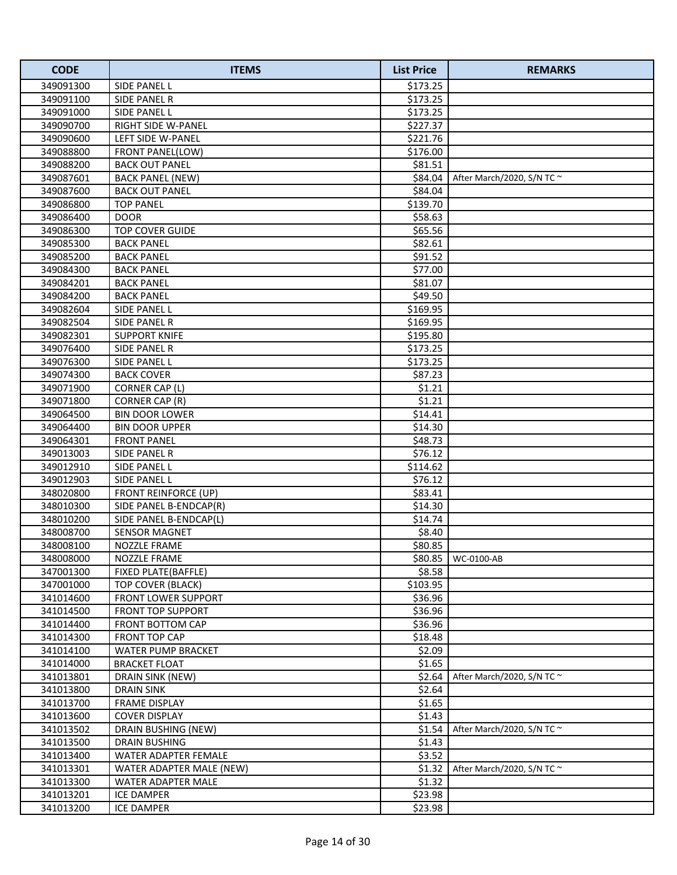| <b>CODE</b>            | <b>ITEMS</b>                                    | <b>List Price</b>  | <b>REMARKS</b>                  |
|------------------------|-------------------------------------------------|--------------------|---------------------------------|
| 349091300              | SIDE PANEL L                                    | \$173.25           |                                 |
| 349091100              | SIDE PANEL R                                    | \$173.25           |                                 |
| 349091000              | SIDE PANEL L                                    | \$173.25           |                                 |
| 349090700              | RIGHT SIDE W-PANEL                              | \$227.37           |                                 |
| 349090600              | LEFT SIDE W-PANEL                               | \$221.76           |                                 |
| 349088800              | FRONT PANEL(LOW)                                | \$176.00           |                                 |
| 349088200              | <b>BACK OUT PANEL</b>                           | \$81.51            |                                 |
| 349087601              | <b>BACK PANEL (NEW)</b>                         | \$84.04            | After March/2020, S/N TC ~      |
| 349087600              | <b>BACK OUT PANEL</b>                           | \$84.04            |                                 |
| 349086800              | <b>TOP PANEL</b>                                | \$139.70           |                                 |
| 349086400              | <b>DOOR</b>                                     | \$58.63            |                                 |
| 349086300              | <b>TOP COVER GUIDE</b>                          | \$65.56            |                                 |
| 349085300              | <b>BACK PANEL</b>                               | \$82.61            |                                 |
| 349085200              | <b>BACK PANEL</b>                               | \$91.52            |                                 |
| 349084300              | <b>BACK PANEL</b>                               | \$77.00            |                                 |
| 349084201              | <b>BACK PANEL</b>                               | \$81.07            |                                 |
| 349084200              | <b>BACK PANEL</b>                               | \$49.50            |                                 |
| 349082604              | SIDE PANEL L                                    | \$169.95           |                                 |
| 349082504              | SIDE PANEL R                                    | \$169.95           |                                 |
| 349082301              | <b>SUPPORT KNIFE</b>                            | \$195.80           |                                 |
| 349076400              | <b>SIDE PANEL R</b>                             | \$173.25           |                                 |
| 349076300              | SIDE PANEL L                                    | \$173.25           |                                 |
| 349074300              | <b>BACK COVER</b>                               | \$87.23            |                                 |
| 349071900              | CORNER CAP (L)                                  | \$1.21             |                                 |
| 349071800              | CORNER CAP (R)                                  | \$1.21             |                                 |
| 349064500              | <b>BIN DOOR LOWER</b>                           | \$14.41            |                                 |
| 349064400              | <b>BIN DOOR UPPER</b>                           | \$14.30            |                                 |
| 349064301              | <b>FRONT PANEL</b>                              | \$48.73            |                                 |
| 349013003              | SIDE PANEL R                                    | \$76.12            |                                 |
| 349012910              | SIDE PANEL L                                    | \$114.62           |                                 |
| 349012903              | SIDE PANEL L                                    | \$76.12            |                                 |
| 348020800              | <b>FRONT REINFORCE (UP)</b>                     | \$83.41            |                                 |
| 348010300              | SIDE PANEL B-ENDCAP(R)                          | \$14.30            |                                 |
| 348010200              | SIDE PANEL B-ENDCAP(L)                          | \$14.74            |                                 |
| 348008700              | <b>SENSOR MAGNET</b>                            | \$8.40             |                                 |
| 348008100              | <b>NOZZLE FRAME</b>                             | \$80.85            |                                 |
| 348008000              | NOZZLE FRAME                                    | \$80.85            | WC-0100-AB                      |
| 347001300              | <b>FIXED PLATE(BAFFLE)</b>                      | \$8.58<br>\$103.95 |                                 |
| 347001000              | TOP COVER (BLACK)<br><b>FRONT LOWER SUPPORT</b> |                    |                                 |
| 341014600<br>341014500 |                                                 | \$36.96            |                                 |
| 341014400              | FRONT TOP SUPPORT<br>FRONT BOTTOM CAP           | \$36.96<br>\$36.96 |                                 |
| 341014300              | <b>FRONT TOP CAP</b>                            | \$18.48            |                                 |
| 341014100              | WATER PUMP BRACKET                              | \$2.09             |                                 |
| 341014000              | <b>BRACKET FLOAT</b>                            | \$1.65             |                                 |
| 341013801              | DRAIN SINK (NEW)                                | \$2.64             | After March/2020, S/N TC $\sim$ |
| 341013800              | DRAIN SINK                                      | \$2.64             |                                 |
| 341013700              | FRAME DISPLAY                                   | \$1.65             |                                 |
| 341013600              | <b>COVER DISPLAY</b>                            | \$1.43             |                                 |
| 341013502              | DRAIN BUSHING (NEW)                             | \$1.54             | After March/2020, S/N TC $\sim$ |
| 341013500              | <b>DRAIN BUSHING</b>                            | \$1.43             |                                 |
| 341013400              | WATER ADAPTER FEMALE                            | \$3.52             |                                 |
| 341013301              | WATER ADAPTER MALE (NEW)                        | \$1.32             | After March/2020, S/N TC $\sim$ |
| 341013300              | WATER ADAPTER MALE                              | \$1.32             |                                 |
| 341013201              | <b>ICE DAMPER</b>                               | \$23.98            |                                 |
| 341013200              | <b>ICE DAMPER</b>                               | \$23.98            |                                 |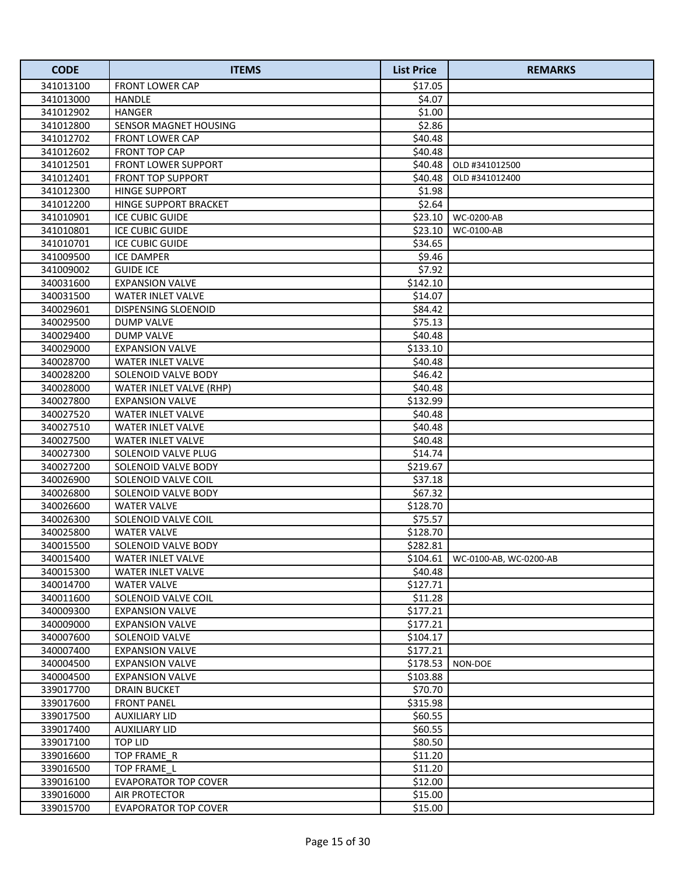| <b>CODE</b>            | <b>ITEMS</b>                              | <b>List Price</b>   | <b>REMARKS</b>         |
|------------------------|-------------------------------------------|---------------------|------------------------|
| 341013100              | <b>FRONT LOWER CAP</b>                    | \$17.05             |                        |
| 341013000              | HANDLE                                    | \$4.07              |                        |
| 341012902              | <b>HANGER</b>                             | \$1.00              |                        |
| 341012800              | SENSOR MAGNET HOUSING                     | \$2.86              |                        |
| 341012702              | <b>FRONT LOWER CAP</b>                    | \$40.48             |                        |
| 341012602              | FRONT TOP CAP                             | \$40.48             |                        |
| 341012501              | FRONT LOWER SUPPORT                       | \$40.48             | OLD #341012500         |
| 341012401              | <b>FRONT TOP SUPPORT</b>                  | \$40.48             | OLD #341012400         |
| 341012300              | <b>HINGE SUPPORT</b>                      | \$1.98              |                        |
| 341012200              | HINGE SUPPORT BRACKET                     | \$2.64              |                        |
| 341010901              | <b>ICE CUBIC GUIDE</b>                    |                     | \$23.10   WC-0200-AB   |
| 341010801              | <b>ICE CUBIC GUIDE</b>                    | \$23.10             | WC-0100-AB             |
| 341010701              | <b>ICE CUBIC GUIDE</b>                    | \$34.65             |                        |
| 341009500              | <b>ICE DAMPER</b>                         | \$9.46              |                        |
| 341009002              | <b>GUIDE ICE</b>                          | \$7.92              |                        |
| 340031600              | <b>EXPANSION VALVE</b>                    | \$142.10            |                        |
| 340031500              | <b>WATER INLET VALVE</b>                  | \$14.07             |                        |
| 340029601              | <b>DISPENSING SLOENOID</b>                | \$84.42             |                        |
| 340029500              | DUMP VALVE                                | \$75.13             |                        |
| 340029400              | <b>DUMP VALVE</b>                         | \$40.48             |                        |
| 340029000              | <b>EXPANSION VALVE</b>                    | \$133.10            |                        |
| 340028700              | WATER INLET VALVE                         | \$40.48             |                        |
| 340028200              | SOLENOID VALVE BODY                       | \$46.42             |                        |
| 340028000              | WATER INLET VALVE (RHP)                   | \$40.48             |                        |
| 340027800              | <b>EXPANSION VALVE</b>                    | \$132.99            |                        |
| 340027520              | <b>WATER INLET VALVE</b>                  | \$40.48             |                        |
| 340027510              | WATER INLET VALVE                         | \$40.48             |                        |
| 340027500              | WATER INLET VALVE                         | \$40.48             |                        |
| 340027300              | SOLENOID VALVE PLUG                       | \$14.74             |                        |
| 340027200              | SOLENOID VALVE BODY                       | \$219.67            |                        |
| 340026900              | SOLENOID VALVE COIL                       | \$37.18             |                        |
| 340026800<br>340026600 | SOLENOID VALVE BODY<br><b>WATER VALVE</b> | \$67.32<br>\$128.70 |                        |
| 340026300              | SOLENOID VALVE COIL                       | \$75.57             |                        |
| 340025800              | <b>WATER VALVE</b>                        | \$128.70            |                        |
| 340015500              | SOLENOID VALVE BODY                       | \$282.81            |                        |
| 340015400              | <b>WATER INLET VALVE</b>                  | \$104.61            | WC-0100-AB, WC-0200-AB |
| 340015300              | <b>WATER INLET VALVE</b>                  | \$40.48             |                        |
| 340014700              | <b>WATER VALVE</b>                        | \$127.71            |                        |
| 340011600              | SOLENOID VALVE COIL                       | \$11.28             |                        |
| 340009300              | <b>EXPANSION VALVE</b>                    | \$177.21            |                        |
| 340009000              | <b>EXPANSION VALVE</b>                    | \$177.21            |                        |
| 340007600              | SOLENOID VALVE                            | \$104.17            |                        |
| 340007400              | <b>EXPANSION VALVE</b>                    | \$177.21            |                        |
| 340004500              | <b>EXPANSION VALVE</b>                    | \$178.53            | NON-DOE                |
| 340004500              | <b>EXPANSION VALVE</b>                    | \$103.88            |                        |
| 339017700              | DRAIN BUCKET                              | \$70.70             |                        |
| 339017600              | <b>FRONT PANEL</b>                        | \$315.98            |                        |
| 339017500              | AUXILIARY LID                             | \$60.55             |                        |
| 339017400              | AUXILIARY LID                             | \$60.55             |                        |
| 339017100              | TOP LID                                   | \$80.50             |                        |
| 339016600              | TOP FRAME R                               | \$11.20             |                        |
| 339016500              | TOP FRAME L                               | \$11.20             |                        |
| 339016100              | <b>EVAPORATOR TOP COVER</b>               | \$12.00             |                        |
| 339016000              | AIR PROTECTOR                             | \$15.00             |                        |
| 339015700              | <b>EVAPORATOR TOP COVER</b>               | \$15.00             |                        |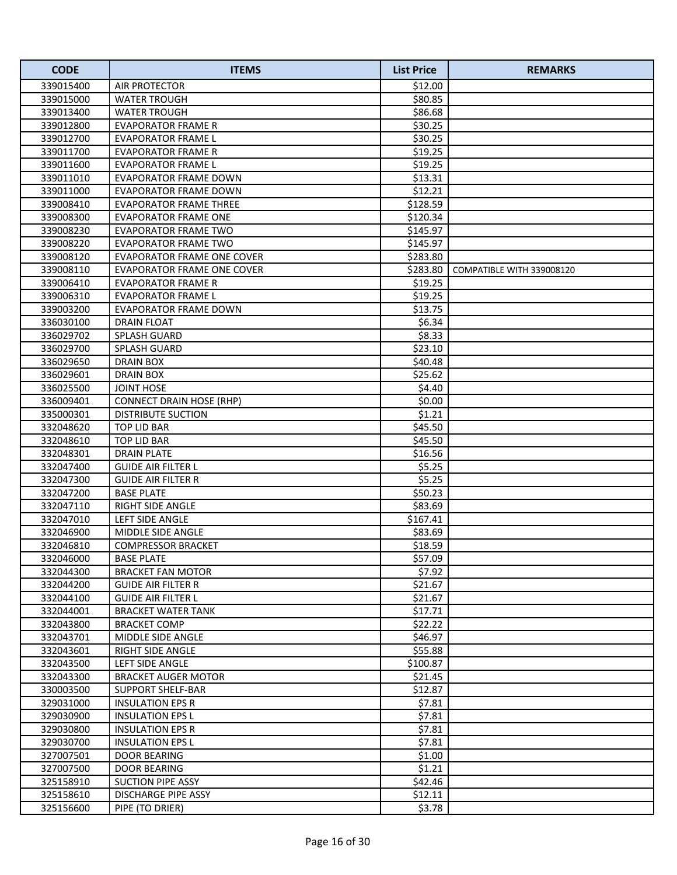| <b>CODE</b> | <b>ITEMS</b>                      | <b>List Price</b> | <b>REMARKS</b>            |
|-------------|-----------------------------------|-------------------|---------------------------|
| 339015400   | AIR PROTECTOR                     | \$12.00           |                           |
| 339015000   | WATER TROUGH                      | \$80.85           |                           |
| 339013400   | <b>WATER TROUGH</b>               | \$86.68           |                           |
| 339012800   | <b>EVAPORATOR FRAME R</b>         | \$30.25           |                           |
| 339012700   | <b>EVAPORATOR FRAME L</b>         | \$30.25           |                           |
| 339011700   | <b>EVAPORATOR FRAME R</b>         | \$19.25           |                           |
| 339011600   | <b>EVAPORATOR FRAME L</b>         | \$19.25           |                           |
| 339011010   | EVAPORATOR FRAME DOWN             | \$13.31           |                           |
| 339011000   | <b>EVAPORATOR FRAME DOWN</b>      | \$12.21           |                           |
| 339008410   | <b>EVAPORATOR FRAME THREE</b>     | \$128.59          |                           |
| 339008300   | <b>EVAPORATOR FRAME ONE</b>       | \$120.34          |                           |
| 339008230   | <b>EVAPORATOR FRAME TWO</b>       | \$145.97          |                           |
| 339008220   | <b>EVAPORATOR FRAME TWO</b>       | \$145.97          |                           |
| 339008120   | <b>EVAPORATOR FRAME ONE COVER</b> | \$283.80          |                           |
| 339008110   | EVAPORATOR FRAME ONE COVER        | \$283.80          | COMPATIBLE WITH 339008120 |
| 339006410   | EVAPORATOR FRAME R                | \$19.25           |                           |
| 339006310   | <b>EVAPORATOR FRAME L</b>         | \$19.25           |                           |
| 339003200   | <b>EVAPORATOR FRAME DOWN</b>      | \$13.75           |                           |
| 336030100   | DRAIN FLOAT                       | \$6.34            |                           |
| 336029702   | <b>SPLASH GUARD</b>               | \$8.33            |                           |
| 336029700   | <b>SPLASH GUARD</b>               | \$23.10           |                           |
| 336029650   | DRAIN BOX                         | \$40.48           |                           |
| 336029601   | DRAIN BOX                         | \$25.62           |                           |
| 336025500   | <b>JOINT HOSE</b>                 | \$4.40            |                           |
| 336009401   | <b>CONNECT DRAIN HOSE (RHP)</b>   | \$0.00            |                           |
| 335000301   | DISTRIBUTE SUCTION                | \$1.21            |                           |
| 332048620   | <b>TOP LID BAR</b>                | \$45.50           |                           |
| 332048610   | TOP LID BAR                       | \$45.50           |                           |
| 332048301   | <b>DRAIN PLATE</b>                | \$16.56           |                           |
| 332047400   | <b>GUIDE AIR FILTER L</b>         | \$5.25            |                           |
| 332047300   | <b>GUIDE AIR FILTER R</b>         | \$5.25            |                           |
| 332047200   | <b>BASE PLATE</b>                 | \$50.23           |                           |
| 332047110   | RIGHT SIDE ANGLE                  | \$83.69           |                           |
| 332047010   | LEFT SIDE ANGLE                   | \$167.41          |                           |
| 332046900   | MIDDLE SIDE ANGLE                 | \$83.69           |                           |
| 332046810   | <b>COMPRESSOR BRACKET</b>         | \$18.59           |                           |
| 332046000   | <b>BASE PLATE</b>                 | \$57.09           |                           |
| 332044300   | <b>BRACKET FAN MOTOR</b>          | \$7.92            |                           |
| 332044200   | <b>GUIDE AIR FILTER R</b>         | \$21.67           |                           |
| 332044100   | <b>GUIDE AIR FILTER L</b>         | \$21.67           |                           |
| 332044001   | <b>BRACKET WATER TANK</b>         | \$17.71           |                           |
| 332043800   | <b>BRACKET COMP</b>               | \$22.22           |                           |
| 332043701   | <b>MIDDLE SIDE ANGLE</b>          | \$46.97           |                           |
| 332043601   | <b>RIGHT SIDE ANGLE</b>           | \$55.88           |                           |
| 332043500   | LEFT SIDE ANGLE                   | \$100.87          |                           |
| 332043300   | <b>BRACKET AUGER MOTOR</b>        | \$21.45           |                           |
| 330003500   | <b>SUPPORT SHELF-BAR</b>          | \$12.87           |                           |
| 329031000   | <b>INSULATION EPS R</b>           | \$7.81            |                           |
| 329030900   | <b>INSULATION EPS L</b>           | \$7.81            |                           |
| 329030800   | <b>INSULATION EPS R</b>           | \$7.81            |                           |
| 329030700   | <b>INSULATION EPS L</b>           | \$7.81            |                           |
| 327007501   | DOOR BEARING                      | \$1.00            |                           |
| 327007500   | <b>DOOR BEARING</b>               | \$1.21            |                           |
| 325158910   | <b>SUCTION PIPE ASSY</b>          | \$42.46           |                           |
| 325158610   | DISCHARGE PIPE ASSY               | \$12.11           |                           |
| 325156600   | PIPE (TO DRIER)                   | \$3.78            |                           |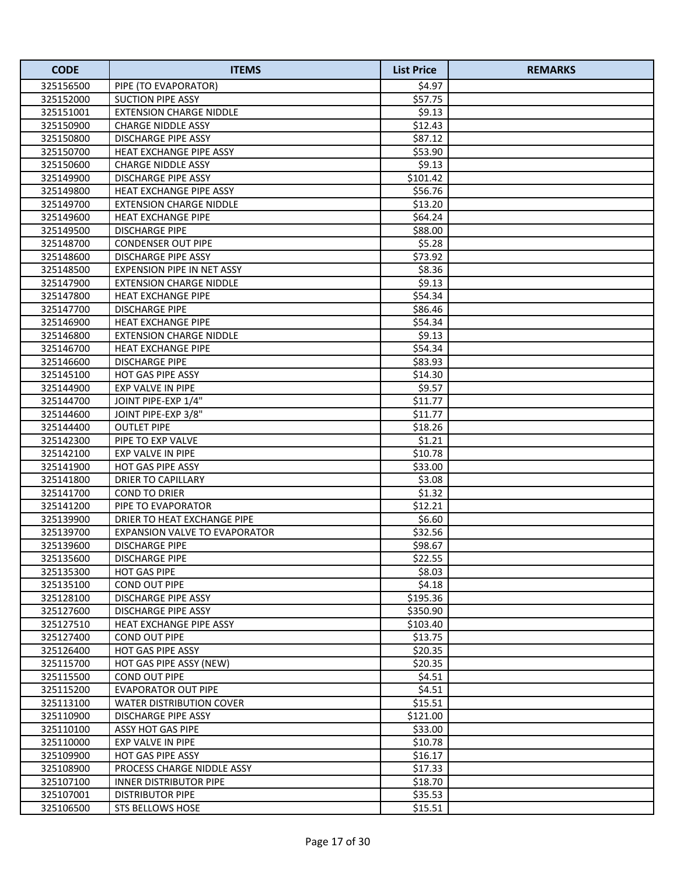| <b>CODE</b>            | <b>ITEMS</b>                                 | <b>List Price</b> | <b>REMARKS</b> |
|------------------------|----------------------------------------------|-------------------|----------------|
| 325156500              | PIPE (TO EVAPORATOR)                         | \$4.97            |                |
| 325152000              | <b>SUCTION PIPE ASSY</b>                     | \$57.75           |                |
| 325151001              | <b>EXTENSION CHARGE NIDDLE</b>               | \$9.13            |                |
| 325150900              | <b>CHARGE NIDDLE ASSY</b>                    | \$12.43           |                |
| 325150800              | DISCHARGE PIPE ASSY                          | \$87.12           |                |
| 325150700              | HEAT EXCHANGE PIPE ASSY                      | \$53.90           |                |
| 325150600              | <b>CHARGE NIDDLE ASSY</b>                    | \$9.13            |                |
| 325149900              | <b>DISCHARGE PIPE ASSY</b>                   | \$101.42          |                |
| 325149800              | <b>HEAT EXCHANGE PIPE ASSY</b>               | \$56.76           |                |
| 325149700              | <b>EXTENSION CHARGE NIDDLE</b>               | \$13.20           |                |
| 325149600              | <b>HEAT EXCHANGE PIPE</b>                    | \$64.24           |                |
| 325149500              | <b>DISCHARGE PIPE</b>                        | \$88.00           |                |
| 325148700              | <b>CONDENSER OUT PIPE</b>                    | \$5.28            |                |
| 325148600              | DISCHARGE PIPE ASSY                          | \$73.92           |                |
| 325148500              | <b>EXPENSION PIPE IN NET ASSY</b>            | \$8.36            |                |
| 325147900              | <b>EXTENSION CHARGE NIDDLE</b>               | \$9.13            |                |
| 325147800              | <b>HEAT EXCHANGE PIPE</b>                    | \$54.34           |                |
| 325147700              | <b>DISCHARGE PIPE</b>                        | \$86.46           |                |
| 325146900              | <b>HEAT EXCHANGE PIPE</b>                    | \$54.34           |                |
| 325146800              | <b>EXTENSION CHARGE NIDDLE</b>               | \$9.13            |                |
| 325146700              | <b>HEAT EXCHANGE PIPE</b>                    | \$54.34           |                |
| 325146600              | <b>DISCHARGE PIPE</b>                        | \$83.93           |                |
| 325145100              | <b>HOT GAS PIPE ASSY</b>                     | \$14.30           |                |
| 325144900              | EXP VALVE IN PIPE                            | \$9.57            |                |
| 325144700              | JOINT PIPE-EXP 1/4"                          | \$11.77           |                |
| 325144600              | JOINT PIPE-EXP 3/8"                          | \$11.77           |                |
| 325144400              | <b>OUTLET PIPE</b>                           | \$18.26           |                |
| 325142300              | PIPE TO EXP VALVE                            | \$1.21            |                |
| 325142100              | EXP VALVE IN PIPE                            | \$10.78           |                |
| 325141900              | <b>HOT GAS PIPE ASSY</b>                     | \$33.00           |                |
| 325141800              | DRIER TO CAPILLARY                           | \$3.08            |                |
| 325141700              | <b>COND TO DRIER</b>                         | \$1.32            |                |
| 325141200              | PIPE TO EVAPORATOR                           | \$12.21           |                |
| 325139900              | DRIER TO HEAT EXCHANGE PIPE                  | \$6.60            |                |
| 325139700              | <b>EXPANSION VALVE TO EVAPORATOR</b>         | \$32.56           |                |
| 325139600<br>325135600 | <b>DISCHARGE PIPE</b>                        | \$98.67           |                |
| 325135300              | <b>DISCHARGE PIPE</b><br><b>HOT GAS PIPE</b> | \$22.55<br>\$8.03 |                |
| 325135100              | COND OUT PIPE                                | \$4.18            |                |
| 325128100              | DISCHARGE PIPE ASSY                          | \$195.36          |                |
| 325127600              | DISCHARGE PIPE ASSY                          | \$350.90          |                |
| 325127510              | HEAT EXCHANGE PIPE ASSY                      | \$103.40          |                |
| 325127400              | <b>COND OUT PIPE</b>                         | \$13.75           |                |
| 325126400              | <b>HOT GAS PIPE ASSY</b>                     | \$20.35           |                |
| 325115700              | HOT GAS PIPE ASSY (NEW)                      | \$20.35           |                |
| 325115500              | <b>COND OUT PIPE</b>                         | \$4.51            |                |
| 325115200              | EVAPORATOR OUT PIPE                          | \$4.51            |                |
| 325113100              | WATER DISTRIBUTION COVER                     | \$15.51           |                |
| 325110900              | DISCHARGE PIPE ASSY                          | \$121.00          |                |
| 325110100              | ASSY HOT GAS PIPE                            | \$33.00           |                |
| 325110000              | EXP VALVE IN PIPE                            | \$10.78           |                |
| 325109900              | <b>HOT GAS PIPE ASSY</b>                     | \$16.17           |                |
| 325108900              | PROCESS CHARGE NIDDLE ASSY                   | \$17.33           |                |
| 325107100              | INNER DISTRIBUTOR PIPE                       | \$18.70           |                |
| 325107001              | <b>DISTRIBUTOR PIPE</b>                      | \$35.53           |                |
| 325106500              | <b>STS BELLOWS HOSE</b>                      | \$15.51           |                |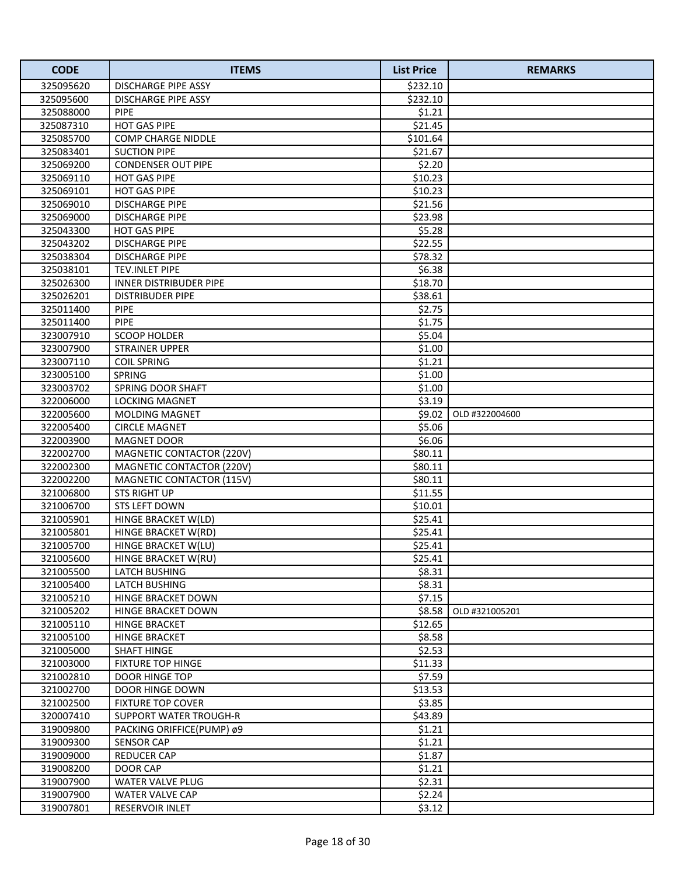| <b>CODE</b> | <b>ITEMS</b>                  | <b>List Price</b> | <b>REMARKS</b> |
|-------------|-------------------------------|-------------------|----------------|
| 325095620   | <b>DISCHARGE PIPE ASSY</b>    | \$232.10          |                |
| 325095600   | <b>DISCHARGE PIPE ASSY</b>    | \$232.10          |                |
| 325088000   | <b>PIPE</b>                   | \$1.21            |                |
| 325087310   | <b>HOT GAS PIPE</b>           | \$21.45           |                |
| 325085700   | <b>COMP CHARGE NIDDLE</b>     | \$101.64          |                |
| 325083401   | <b>SUCTION PIPE</b>           | \$21.67           |                |
| 325069200   | <b>CONDENSER OUT PIPE</b>     | \$2.20            |                |
| 325069110   | <b>HOT GAS PIPE</b>           | \$10.23           |                |
| 325069101   | <b>HOT GAS PIPE</b>           | \$10.23           |                |
| 325069010   | <b>DISCHARGE PIPE</b>         | \$21.56           |                |
| 325069000   | <b>DISCHARGE PIPE</b>         | \$23.98           |                |
| 325043300   | <b>HOT GAS PIPE</b>           | \$5.28            |                |
| 325043202   | <b>DISCHARGE PIPE</b>         | \$22.55           |                |
| 325038304   | <b>DISCHARGE PIPE</b>         | \$78.32           |                |
| 325038101   | TEV.INLET PIPE                | \$6.38            |                |
| 325026300   | <b>INNER DISTRIBUDER PIPE</b> | \$18.70           |                |
| 325026201   | <b>DISTRIBUDER PIPE</b>       | \$38.61           |                |
| 325011400   | <b>PIPE</b>                   | \$2.75            |                |
| 325011400   | <b>PIPE</b>                   | \$1.75            |                |
| 323007910   | <b>SCOOP HOLDER</b>           | \$5.04            |                |
| 323007900   | <b>STRAINER UPPER</b>         | \$1.00            |                |
| 323007110   | <b>COIL SPRING</b>            | \$1.21            |                |
| 323005100   | SPRING                        | \$1.00            |                |
| 323003702   | SPRING DOOR SHAFT             | \$1.00            |                |
| 322006000   | <b>LOCKING MAGNET</b>         | \$3.19            |                |
| 322005600   | <b>MOLDING MAGNET</b>         | \$9.02            | OLD #322004600 |
| 322005400   | <b>CIRCLE MAGNET</b>          | \$5.06            |                |
| 322003900   | <b>MAGNET DOOR</b>            | \$6.06            |                |
| 322002700   | MAGNETIC CONTACTOR (220V)     | \$80.11           |                |
| 322002300   | MAGNETIC CONTACTOR (220V)     | \$80.11           |                |
| 322002200   | MAGNETIC CONTACTOR (115V)     | \$80.11           |                |
| 321006800   | <b>STS RIGHT UP</b>           | \$11.55           |                |
| 321006700   | <b>STS LEFT DOWN</b>          | \$10.01           |                |
| 321005901   | HINGE BRACKET W(LD)           | \$25.41           |                |
| 321005801   | HINGE BRACKET W(RD)           | \$25.41           |                |
| 321005700   | HINGE BRACKET W(LU)           | \$25.41           |                |
| 321005600   | HINGE BRACKET W(RU)           | \$25.41           |                |
| 321005500   | LATCH BUSHING                 | \$8.31            |                |
| 321005400   | <b>LATCH BUSHING</b>          | \$8.31            |                |
| 321005210   | HINGE BRACKET DOWN            | \$7.15            |                |
| 321005202   | HINGE BRACKET DOWN            | \$8.58            | OLD #321005201 |
| 321005110   | HINGE BRACKET                 | \$12.65           |                |
| 321005100   | <b>HINGE BRACKET</b>          | \$8.58            |                |
| 321005000   | <b>SHAFT HINGE</b>            | \$2.53            |                |
| 321003000   | <b>FIXTURE TOP HINGE</b>      | \$11.33           |                |
| 321002810   | DOOR HINGE TOP                | \$7.59            |                |
| 321002700   | <b>DOOR HINGE DOWN</b>        | \$13.53           |                |
| 321002500   | <b>FIXTURE TOP COVER</b>      | \$3.85            |                |
| 320007410   | SUPPORT WATER TROUGH-R        | \$43.89           |                |
| 319009800   | PACKING ORIFFICE(PUMP) ø9     | \$1.21            |                |
| 319009300   | <b>SENSOR CAP</b>             | \$1.21            |                |
| 319009000   | REDUCER CAP                   | \$1.87            |                |
| 319008200   | DOOR CAP                      | \$1.21            |                |
| 319007900   | <b>WATER VALVE PLUG</b>       | \$2.31            |                |
| 319007900   | WATER VALVE CAP               | \$2.24            |                |
| 319007801   | RESERVOIR INLET               | \$3.12            |                |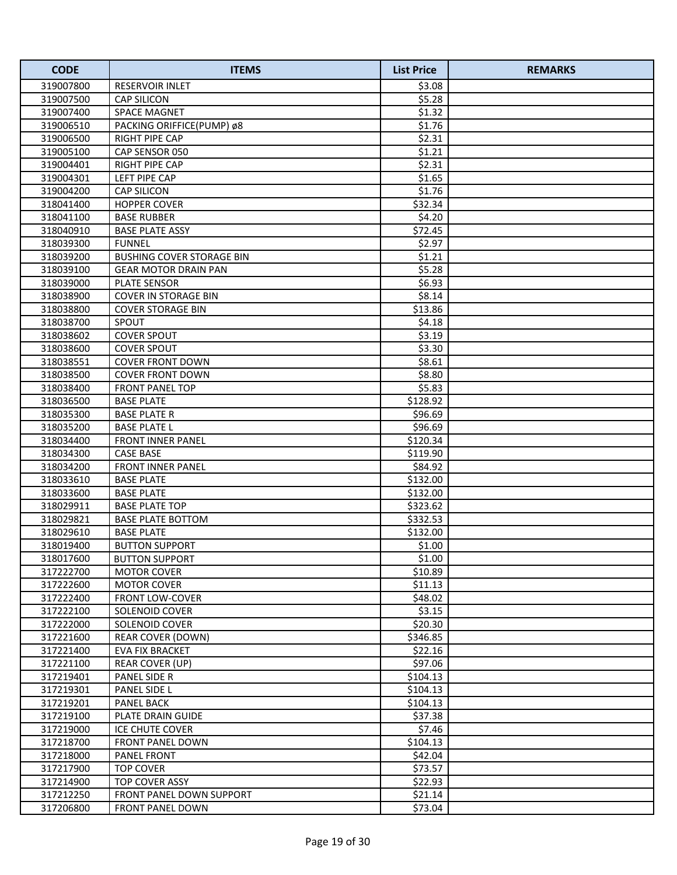| <b>CODE</b>            | <b>ITEMS</b>                                   | <b>List Price</b> | <b>REMARKS</b> |
|------------------------|------------------------------------------------|-------------------|----------------|
| 319007800              | <b>RESERVOIR INLET</b>                         | \$3.08            |                |
| 319007500              | <b>CAP SILICON</b>                             | \$5.28            |                |
| 319007400              | <b>SPACE MAGNET</b>                            | \$1.32            |                |
| 319006510              | PACKING ORIFFICE(PUMP) ø8                      | \$1.76            |                |
| 319006500              | <b>RIGHT PIPE CAP</b>                          | \$2.31            |                |
| 319005100              | CAP SENSOR 050                                 | \$1.21            |                |
| 319004401              | <b>RIGHT PIPE CAP</b>                          | \$2.31            |                |
| 319004301              | LEFT PIPE CAP                                  | \$1.65            |                |
| 319004200              | <b>CAP SILICON</b>                             | \$1.76            |                |
| 318041400              | <b>HOPPER COVER</b>                            | \$32.34           |                |
| 318041100              | <b>BASE RUBBER</b>                             | \$4.20            |                |
| 318040910              | <b>BASE PLATE ASSY</b>                         | \$72.45           |                |
| 318039300              | <b>FUNNEL</b>                                  | \$2.97            |                |
| 318039200              | <b>BUSHING COVER STORAGE BIN</b>               | \$1.21            |                |
| 318039100              | <b>GEAR MOTOR DRAIN PAN</b>                    | \$5.28            |                |
| 318039000              | PLATE SENSOR                                   | \$6.93            |                |
| 318038900              | <b>COVER IN STORAGE BIN</b>                    | \$8.14            |                |
| 318038800              | <b>COVER STORAGE BIN</b>                       | \$13.86           |                |
| 318038700              | SPOUT                                          | \$4.18            |                |
| 318038602              | <b>COVER SPOUT</b>                             | \$3.19            |                |
| 318038600              | <b>COVER SPOUT</b>                             | \$3.30            |                |
| 318038551              | <b>COVER FRONT DOWN</b>                        | \$8.61            |                |
| 318038500              | <b>COVER FRONT DOWN</b>                        | \$8.80            |                |
| 318038400              | FRONT PANEL TOP                                | \$5.83            |                |
| 318036500              | <b>BASE PLATE</b>                              | \$128.92          |                |
| 318035300              | <b>BASE PLATE R</b>                            | \$96.69           |                |
| 318035200              | <b>BASE PLATE L</b>                            | \$96.69           |                |
| 318034400              | <b>FRONT INNER PANEL</b>                       | \$120.34          |                |
| 318034300              | <b>CASE BASE</b>                               | \$119.90          |                |
| 318034200              | <b>FRONT INNER PANEL</b>                       | \$84.92           |                |
| 318033610              | <b>BASE PLATE</b>                              | \$132.00          |                |
| 318033600              | <b>BASE PLATE</b>                              | \$132.00          |                |
| 318029911              | <b>BASE PLATE TOP</b>                          | \$323.62          |                |
| 318029821              | <b>BASE PLATE BOTTOM</b>                       | \$332.53          |                |
| 318029610              | <b>BASE PLATE</b>                              | \$132.00          |                |
| 318019400              | <b>BUTTON SUPPORT</b><br><b>BUTTON SUPPORT</b> | \$1.00            |                |
| 318017600              |                                                | \$1.00<br>\$10.89 |                |
| 317222700<br>317222600 | <b>MOTOR COVER</b><br><b>MOTOR COVER</b>       | \$11.13           |                |
| 317222400              | <b>FRONT LOW-COVER</b>                         | \$48.02           |                |
| 317222100              | SOLENOID COVER                                 | \$3.15            |                |
| 317222000              | SOLENOID COVER                                 | \$20.30           |                |
| 317221600              | <b>REAR COVER (DOWN)</b>                       | \$346.85          |                |
| 317221400              | <b>EVA FIX BRACKET</b>                         | \$22.16           |                |
| 317221100              | REAR COVER (UP)                                | \$97.06           |                |
| 317219401              | PANEL SIDE R                                   | \$104.13          |                |
| 317219301              | PANEL SIDE L                                   | \$104.13          |                |
| 317219201              | <b>PANEL BACK</b>                              | \$104.13          |                |
| 317219100              | PLATE DRAIN GUIDE                              | \$37.38           |                |
| 317219000              | ICE CHUTE COVER                                | \$7.46            |                |
| 317218700              | <b>FRONT PANEL DOWN</b>                        | \$104.13          |                |
| 317218000              | <b>PANEL FRONT</b>                             | \$42.04           |                |
| 317217900              | <b>TOP COVER</b>                               | \$73.57           |                |
| 317214900              | TOP COVER ASSY                                 | \$22.93           |                |
| 317212250              | FRONT PANEL DOWN SUPPORT                       | \$21.14           |                |
| 317206800              | FRONT PANEL DOWN                               | \$73.04           |                |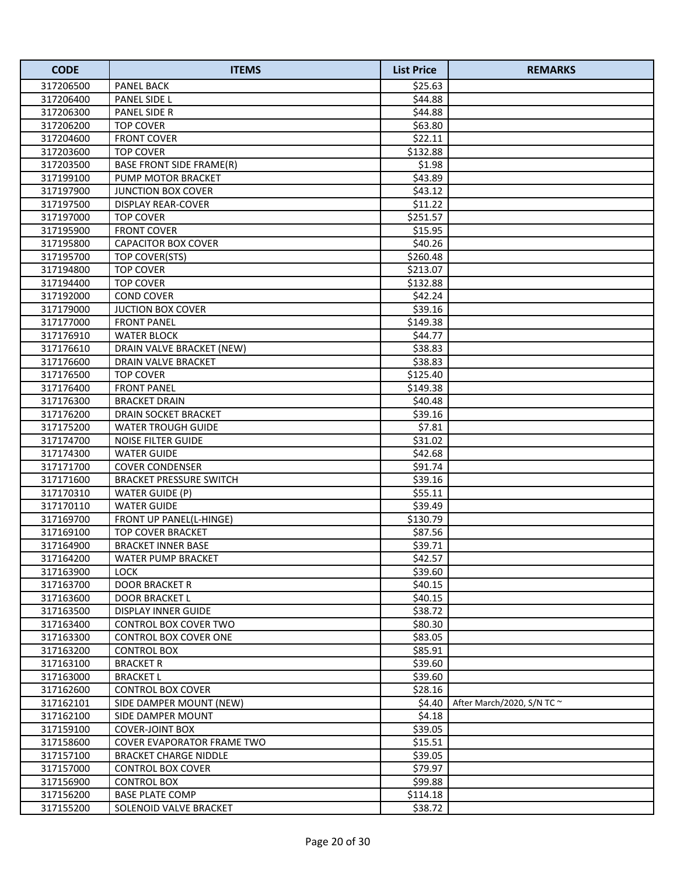| <b>CODE</b> | <b>ITEMS</b>                    | <b>List Price</b> | <b>REMARKS</b>                  |
|-------------|---------------------------------|-------------------|---------------------------------|
| 317206500   | PANEL BACK                      | \$25.63           |                                 |
| 317206400   | PANEL SIDE L                    | \$44.88           |                                 |
| 317206300   | PANEL SIDE R                    | \$44.88           |                                 |
| 317206200   | <b>TOP COVER</b>                | \$63.80           |                                 |
| 317204600   | <b>FRONT COVER</b>              | \$22.11           |                                 |
| 317203600   | <b>TOP COVER</b>                | \$132.88          |                                 |
| 317203500   | <b>BASE FRONT SIDE FRAME(R)</b> | \$1.98            |                                 |
| 317199100   | <b>PUMP MOTOR BRACKET</b>       | \$43.89           |                                 |
| 317197900   | <b>JUNCTION BOX COVER</b>       | \$43.12           |                                 |
| 317197500   | <b>DISPLAY REAR-COVER</b>       | \$11.22           |                                 |
| 317197000   | <b>TOP COVER</b>                | \$251.57          |                                 |
| 317195900   | <b>FRONT COVER</b>              | \$15.95           |                                 |
| 317195800   | <b>CAPACITOR BOX COVER</b>      | \$40.26           |                                 |
| 317195700   | TOP COVER(STS)                  | \$260.48          |                                 |
| 317194800   | <b>TOP COVER</b>                | \$213.07          |                                 |
| 317194400   | <b>TOP COVER</b>                | \$132.88          |                                 |
| 317192000   | <b>COND COVER</b>               | \$42.24           |                                 |
| 317179000   | <b>JUCTION BOX COVER</b>        | \$39.16           |                                 |
| 317177000   | <b>FRONT PANEL</b>              | \$149.38          |                                 |
| 317176910   | <b>WATER BLOCK</b>              | \$44.77           |                                 |
| 317176610   | DRAIN VALVE BRACKET (NEW)       | \$38.83           |                                 |
| 317176600   | DRAIN VALVE BRACKET             | \$38.83           |                                 |
| 317176500   | <b>TOP COVER</b>                | \$125.40          |                                 |
| 317176400   | <b>FRONT PANEL</b>              | \$149.38          |                                 |
| 317176300   | <b>BRACKET DRAIN</b>            | \$40.48           |                                 |
| 317176200   | DRAIN SOCKET BRACKET            | \$39.16           |                                 |
| 317175200   | WATER TROUGH GUIDE              | \$7.81            |                                 |
| 317174700   | NOISE FILTER GUIDE              | \$31.02           |                                 |
| 317174300   | <b>WATER GUIDE</b>              | \$42.68           |                                 |
| 317171700   | <b>COVER CONDENSER</b>          | \$91.74           |                                 |
| 317171600   | <b>BRACKET PRESSURE SWITCH</b>  | \$39.16           |                                 |
| 317170310   | <b>WATER GUIDE (P)</b>          | \$55.11           |                                 |
| 317170110   | <b>WATER GUIDE</b>              | \$39.49           |                                 |
| 317169700   | FRONT UP PANEL(L-HINGE)         | \$130.79          |                                 |
| 317169100   | <b>TOP COVER BRACKET</b>        | \$87.56           |                                 |
| 317164900   | <b>BRACKET INNER BASE</b>       | \$39.71           |                                 |
| 317164200   | <b>WATER PUMP BRACKET</b>       | \$42.57           |                                 |
| 317163900   | LOCK                            | \$39.60           |                                 |
| 317163700   | <b>DOOR BRACKET R</b>           | \$40.15           |                                 |
| 317163600   | DOOR BRACKET L                  | \$40.15           |                                 |
| 317163500   | <b>DISPLAY INNER GUIDE</b>      | \$38.72           |                                 |
| 317163400   | CONTROL BOX COVER TWO           | \$80.30           |                                 |
| 317163300   | CONTROL BOX COVER ONE           | \$83.05           |                                 |
| 317163200   | <b>CONTROL BOX</b>              | \$85.91           |                                 |
| 317163100   | <b>BRACKET R</b>                | \$39.60           |                                 |
| 317163000   | <b>BRACKET L</b>                | \$39.60           |                                 |
| 317162600   | CONTROL BOX COVER               | \$28.16           |                                 |
| 317162101   | SIDE DAMPER MOUNT (NEW)         | \$4.40            | After March/2020, S/N TC $\sim$ |
| 317162100   | SIDE DAMPER MOUNT               | \$4.18            |                                 |
| 317159100   | <b>COVER-JOINT BOX</b>          | \$39.05           |                                 |
| 317158600   | COVER EVAPORATOR FRAME TWO      | \$15.51           |                                 |
| 317157100   | <b>BRACKET CHARGE NIDDLE</b>    | \$39.05           |                                 |
| 317157000   | <b>CONTROL BOX COVER</b>        | \$79.97           |                                 |
| 317156900   | <b>CONTROL BOX</b>              | \$99.88           |                                 |
| 317156200   | <b>BASE PLATE COMP</b>          | \$114.18          |                                 |
| 317155200   | SOLENOID VALVE BRACKET          | \$38.72           |                                 |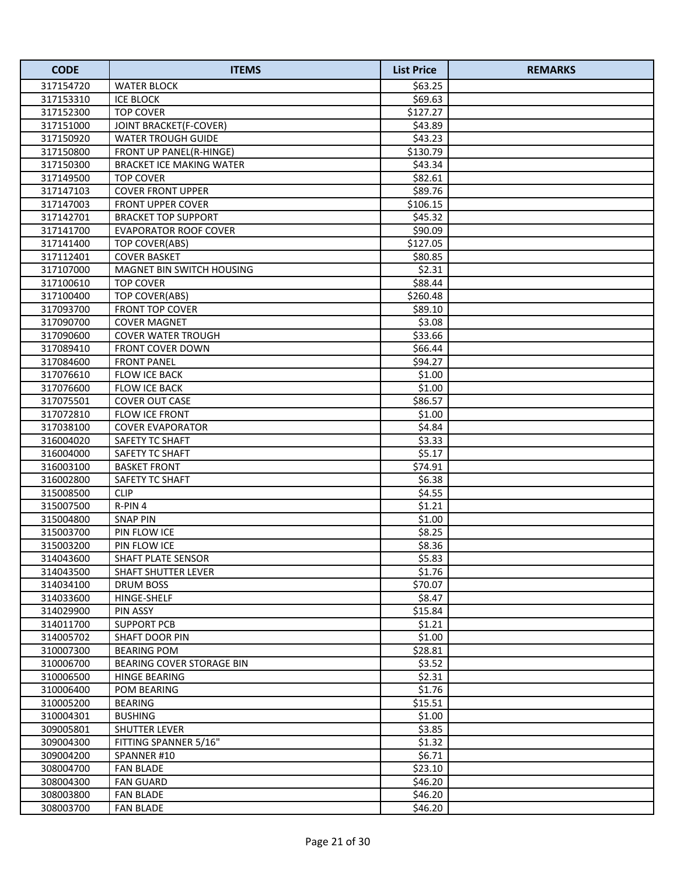| <b>CODE</b> | <b>ITEMS</b>                     | <b>List Price</b> | <b>REMARKS</b> |
|-------------|----------------------------------|-------------------|----------------|
| 317154720   | <b>WATER BLOCK</b>               | \$63.25           |                |
| 317153310   | <b>ICE BLOCK</b>                 | \$69.63           |                |
| 317152300   | <b>TOP COVER</b>                 | \$127.27          |                |
| 317151000   | <b>JOINT BRACKET(F-COVER)</b>    | \$43.89           |                |
| 317150920   | <b>WATER TROUGH GUIDE</b>        | \$43.23           |                |
| 317150800   | FRONT UP PANEL(R-HINGE)          | \$130.79          |                |
| 317150300   | <b>BRACKET ICE MAKING WATER</b>  | \$43.34           |                |
| 317149500   | <b>TOP COVER</b>                 | \$82.61           |                |
| 317147103   | <b>COVER FRONT UPPER</b>         | \$89.76           |                |
| 317147003   | <b>FRONT UPPER COVER</b>         | \$106.15          |                |
| 317142701   | <b>BRACKET TOP SUPPORT</b>       | \$45.32           |                |
| 317141700   | <b>EVAPORATOR ROOF COVER</b>     | \$90.09           |                |
| 317141400   | TOP COVER(ABS)                   | \$127.05          |                |
| 317112401   | <b>COVER BASKET</b>              | \$80.85           |                |
| 317107000   | MAGNET BIN SWITCH HOUSING        | \$2.31            |                |
| 317100610   | <b>TOP COVER</b>                 | \$88.44           |                |
| 317100400   | TOP COVER(ABS)                   | \$260.48          |                |
| 317093700   | <b>FRONT TOP COVER</b>           | \$89.10           |                |
| 317090700   | <b>COVER MAGNET</b>              | \$3.08            |                |
| 317090600   | <b>COVER WATER TROUGH</b>        | \$33.66           |                |
| 317089410   | <b>FRONT COVER DOWN</b>          | \$66.44           |                |
| 317084600   | <b>FRONT PANEL</b>               | \$94.27           |                |
| 317076610   | FLOW ICE BACK                    | \$1.00            |                |
| 317076600   | FLOW ICE BACK                    | \$1.00            |                |
| 317075501   | <b>COVER OUT CASE</b>            | \$86.57           |                |
| 317072810   | FLOW ICE FRONT                   | \$1.00            |                |
| 317038100   | <b>COVER EVAPORATOR</b>          | \$4.84            |                |
| 316004020   | SAFETY TC SHAFT                  | \$3.33            |                |
| 316004000   | SAFETY TC SHAFT                  | \$5.17            |                |
| 316003100   | <b>BASKET FRONT</b>              | \$74.91           |                |
| 316002800   | SAFETY TC SHAFT                  | \$6.38            |                |
| 315008500   | <b>CLIP</b>                      | \$4.55            |                |
| 315007500   | R-PIN 4                          | \$1.21            |                |
| 315004800   | <b>SNAP PIN</b>                  | \$1.00            |                |
| 315003700   | PIN FLOW ICE                     | \$8.25            |                |
| 315003200   | PIN FLOW ICE                     | \$8.36            |                |
| 314043600   | SHAFT PLATE SENSOR               | \$5.83            |                |
| 314043500   | <b>SHAFT SHUTTER LEVER</b>       | \$1.76            |                |
| 314034100   | <b>DRUM BOSS</b>                 | \$70.07           |                |
| 314033600   | HINGE-SHELF                      | \$8.47            |                |
| 314029900   | PIN ASSY                         | \$15.84           |                |
| 314011700   | <b>SUPPORT PCB</b>               | \$1.21            |                |
| 314005702   | SHAFT DOOR PIN                   | \$1.00            |                |
| 310007300   | <b>BEARING POM</b>               | \$28.81           |                |
| 310006700   | <b>BEARING COVER STORAGE BIN</b> | \$3.52            |                |
| 310006500   | HINGE BEARING                    | \$2.31            |                |
| 310006400   | POM BEARING                      | \$1.76            |                |
| 310005200   | <b>BEARING</b>                   | \$15.51           |                |
| 310004301   | <b>BUSHING</b>                   | \$1.00            |                |
| 309005801   | <b>SHUTTER LEVER</b>             | \$3.85            |                |
| 309004300   | FITTING SPANNER 5/16"            | \$1.32            |                |
| 309004200   | SPANNER#10                       | \$6.71            |                |
| 308004700   | <b>FAN BLADE</b>                 | \$23.10           |                |
| 308004300   | <b>FAN GUARD</b>                 | \$46.20           |                |
| 308003800   | <b>FAN BLADE</b>                 | \$46.20           |                |
| 308003700   | <b>FAN BLADE</b>                 | \$46.20           |                |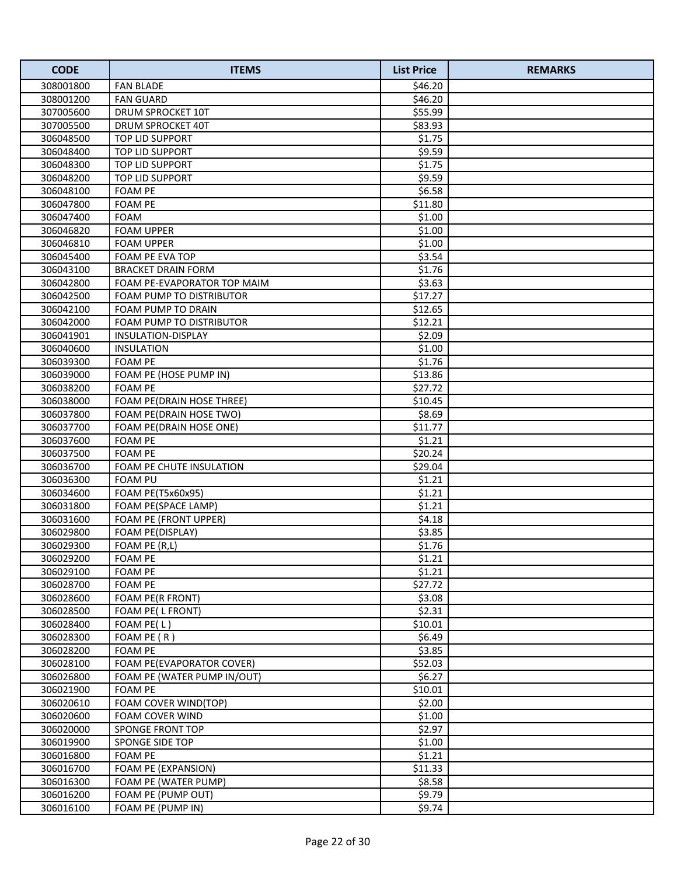| <b>CODE</b>            | <b>ITEMS</b>                            | <b>List Price</b> | <b>REMARKS</b> |
|------------------------|-----------------------------------------|-------------------|----------------|
| 308001800              | <b>FAN BLADE</b>                        | \$46.20           |                |
| 308001200              | <b>FAN GUARD</b>                        | \$46.20           |                |
| 307005600              | DRUM SPROCKET 10T                       | \$55.99           |                |
| 307005500              | DRUM SPROCKET 40T                       | \$83.93           |                |
| 306048500              | TOP LID SUPPORT                         | \$1.75            |                |
| 306048400              | TOP LID SUPPORT                         | \$9.59            |                |
| 306048300              | TOP LID SUPPORT                         | \$1.75            |                |
| 306048200              | TOP LID SUPPORT                         | \$9.59            |                |
| 306048100              | <b>FOAM PE</b>                          | \$6.58            |                |
| 306047800              | <b>FOAM PE</b>                          | \$11.80           |                |
| 306047400              | <b>FOAM</b>                             | \$1.00            |                |
| 306046820              | <b>FOAM UPPER</b>                       | \$1.00            |                |
| 306046810              | <b>FOAM UPPER</b>                       | \$1.00            |                |
| 306045400              | FOAM PE EVA TOP                         | \$3.54            |                |
| 306043100              | <b>BRACKET DRAIN FORM</b>               | \$1.76            |                |
| 306042800              | FOAM PE-EVAPORATOR TOP MAIM             | \$3.63            |                |
| 306042500              | FOAM PUMP TO DISTRIBUTOR                | \$17.27           |                |
| 306042100              | <b>FOAM PUMP TO DRAIN</b>               | \$12.65           |                |
| 306042000              | FOAM PUMP TO DISTRIBUTOR                | \$12.21           |                |
| 306041901              | INSULATION-DISPLAY                      | \$2.09            |                |
| 306040600              | <b>INSULATION</b>                       | \$1.00            |                |
| 306039300              | <b>FOAM PE</b>                          | \$1.76            |                |
| 306039000              | FOAM PE (HOSE PUMP IN)                  | \$13.86           |                |
| 306038200              | <b>FOAM PE</b>                          | \$27.72           |                |
| 306038000              | FOAM PE(DRAIN HOSE THREE)               | \$10.45           |                |
| 306037800              | FOAM PE(DRAIN HOSE TWO)                 | \$8.69            |                |
| 306037700              | FOAM PE(DRAIN HOSE ONE)                 | \$11.77           |                |
| 306037600              | <b>FOAM PE</b>                          | \$1.21            |                |
| 306037500              | <b>FOAM PE</b>                          | \$20.24           |                |
| 306036700              | FOAM PE CHUTE INSULATION                | \$29.04           |                |
| 306036300              | <b>FOAM PU</b>                          | \$1.21            |                |
| 306034600              | FOAM PE(T5x60x95)                       | \$1.21            |                |
| 306031800              | FOAM PE(SPACE LAMP)                     | \$1.21            |                |
| 306031600              | FOAM PE (FRONT UPPER)                   | \$4.18            |                |
| 306029800              | FOAM PE(DISPLAY)                        | \$3.85            |                |
| 306029300              | FOAM PE (R,L)                           | \$1.76            |                |
| 306029200              | <b>FOAM PE</b>                          | \$1.21            |                |
| 306029100              | <b>FOAM PE</b>                          | \$1.21            |                |
| 306028700              | <b>FOAM PE</b>                          | \$27.72           |                |
| 306028600              | FOAM PE(R FRONT)                        | \$3.08            |                |
| 306028500              | FOAM PE(LFRONT)                         | \$2.31            |                |
| 306028400              | FOAM PE(L)                              | \$10.01           |                |
| 306028300<br>306028200 | FOAM PE (R)<br>FOAM PE                  | \$6.49<br>\$3.85  |                |
| 306028100              | FOAM PE(EVAPORATOR COVER)               | \$52.03           |                |
| 306026800              | FOAM PE (WATER PUMP IN/OUT)             | \$6.27            |                |
| 306021900              | <b>FOAM PE</b>                          | \$10.01           |                |
| 306020610              |                                         | \$2.00            |                |
| 306020600              | FOAM COVER WIND(TOP)<br>FOAM COVER WIND | \$1.00            |                |
| 306020000              | SPONGE FRONT TOP                        | \$2.97            |                |
| 306019900              | SPONGE SIDE TOP                         | \$1.00            |                |
| 306016800              | <b>FOAM PE</b>                          | \$1.21            |                |
| 306016700              | FOAM PE (EXPANSION)                     | \$11.33           |                |
| 306016300              | FOAM PE (WATER PUMP)                    | \$8.58            |                |
| 306016200              | FOAM PE (PUMP OUT)                      | \$9.79            |                |
| 306016100              | FOAM PE (PUMP IN)                       | \$9.74            |                |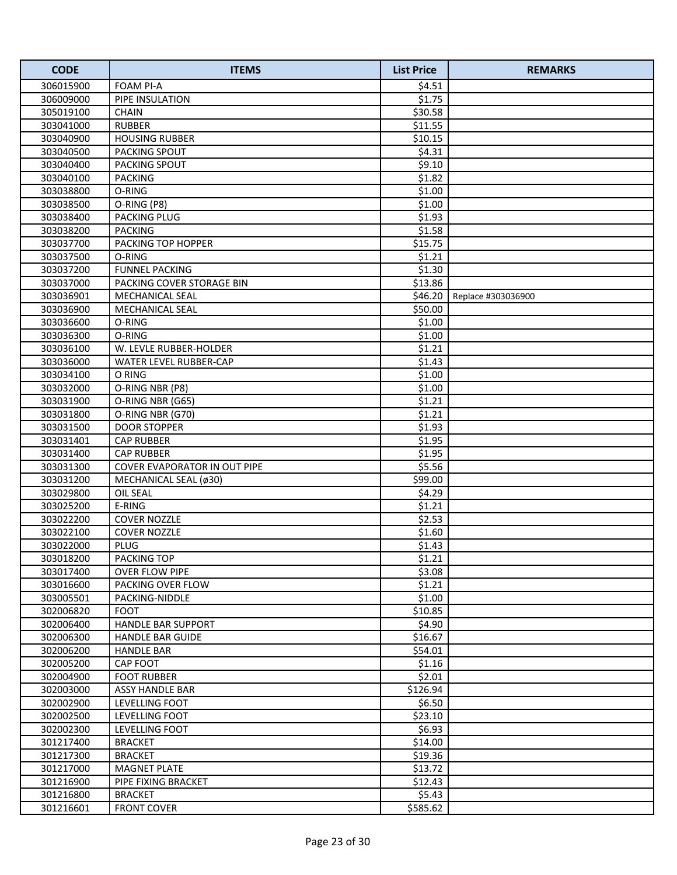| <b>CODE</b> | <b>ITEMS</b>                 | <b>List Price</b> | <b>REMARKS</b>     |
|-------------|------------------------------|-------------------|--------------------|
| 306015900   | <b>FOAM PI-A</b>             | \$4.51            |                    |
| 306009000   | PIPE INSULATION              | \$1.75            |                    |
| 305019100   | <b>CHAIN</b>                 | \$30.58           |                    |
| 303041000   | <b>RUBBER</b>                | \$11.55           |                    |
| 303040900   | <b>HOUSING RUBBER</b>        | \$10.15           |                    |
| 303040500   | PACKING SPOUT                | \$4.31            |                    |
| 303040400   | <b>PACKING SPOUT</b>         | \$9.10            |                    |
| 303040100   | <b>PACKING</b>               | \$1.82            |                    |
| 303038800   | O-RING                       | \$1.00            |                    |
| 303038500   | O-RING (P8)                  | \$1.00            |                    |
| 303038400   | PACKING PLUG                 | \$1.93            |                    |
| 303038200   | <b>PACKING</b>               | \$1.58            |                    |
| 303037700   | PACKING TOP HOPPER           | \$15.75           |                    |
| 303037500   | O-RING                       | \$1.21            |                    |
| 303037200   | <b>FUNNEL PACKING</b>        | \$1.30            |                    |
| 303037000   | PACKING COVER STORAGE BIN    | \$13.86           |                    |
| 303036901   | <b>MECHANICAL SEAL</b>       | \$46.20           | Replace #303036900 |
| 303036900   | <b>MECHANICAL SEAL</b>       | \$50.00           |                    |
| 303036600   | O-RING                       | \$1.00            |                    |
| 303036300   | O-RING                       | \$1.00            |                    |
| 303036100   | W. LEVLE RUBBER-HOLDER       | \$1.21            |                    |
| 303036000   | WATER LEVEL RUBBER-CAP       | \$1.43            |                    |
| 303034100   | O RING                       | \$1.00            |                    |
| 303032000   | O-RING NBR (P8)              | \$1.00            |                    |
| 303031900   | O-RING NBR (G65)             | \$1.21            |                    |
| 303031800   | O-RING NBR (G70)             | \$1.21            |                    |
| 303031500   | <b>DOOR STOPPER</b>          | \$1.93            |                    |
| 303031401   | <b>CAP RUBBER</b>            | \$1.95            |                    |
| 303031400   | <b>CAP RUBBER</b>            | \$1.95            |                    |
| 303031300   | COVER EVAPORATOR IN OUT PIPE | \$5.56            |                    |
| 303031200   | MECHANICAL SEAL (ø30)        | \$99.00           |                    |
| 303029800   | OIL SEAL                     | \$4.29            |                    |
| 303025200   | E-RING                       | \$1.21            |                    |
| 303022200   | <b>COVER NOZZLE</b>          | \$2.53            |                    |
| 303022100   | <b>COVER NOZZLE</b>          | \$1.60            |                    |
| 303022000   | <b>PLUG</b>                  | \$1.43            |                    |
| 303018200   | <b>PACKING TOP</b>           | \$1.21            |                    |
| 303017400   | <b>OVER FLOW PIPE</b>        | \$3.08            |                    |
| 303016600   | PACKING OVER FLOW            | \$1.21            |                    |
| 303005501   | PACKING-NIDDLE               | \$1.00            |                    |
| 302006820   | <b>FOOT</b>                  | \$10.85           |                    |
| 302006400   | <b>HANDLE BAR SUPPORT</b>    | \$4.90            |                    |
| 302006300   | <b>HANDLE BAR GUIDE</b>      | \$16.67           |                    |
| 302006200   | <b>HANDLE BAR</b>            | \$54.01           |                    |
| 302005200   | CAP FOOT                     | \$1.16            |                    |
| 302004900   | <b>FOOT RUBBER</b>           | \$2.01            |                    |
| 302003000   | ASSY HANDLE BAR              | \$126.94          |                    |
| 302002900   | LEVELLING FOOT               | \$6.50            |                    |
| 302002500   | LEVELLING FOOT               | \$23.10           |                    |
| 302002300   | LEVELLING FOOT               | \$6.93            |                    |
| 301217400   | <b>BRACKET</b>               | \$14.00           |                    |
| 301217300   | <b>BRACKET</b>               | \$19.36           |                    |
| 301217000   | <b>MAGNET PLATE</b>          | \$13.72           |                    |
| 301216900   | PIPE FIXING BRACKET          | \$12.43           |                    |
| 301216800   | <b>BRACKET</b>               | \$5.43            |                    |
| 301216601   | <b>FRONT COVER</b>           | \$585.62          |                    |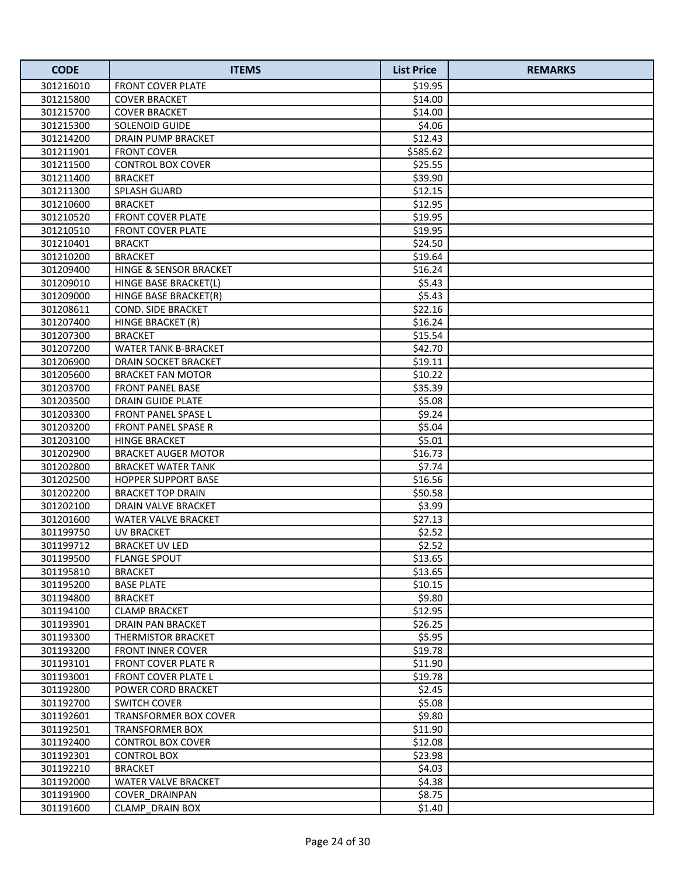| <b>CODE</b> | <b>ITEMS</b>                | <b>List Price</b> | <b>REMARKS</b> |
|-------------|-----------------------------|-------------------|----------------|
| 301216010   | <b>FRONT COVER PLATE</b>    | \$19.95           |                |
| 301215800   | <b>COVER BRACKET</b>        | \$14.00           |                |
| 301215700   | <b>COVER BRACKET</b>        | \$14.00           |                |
| 301215300   | SOLENOID GUIDE              | \$4.06            |                |
| 301214200   | <b>DRAIN PUMP BRACKET</b>   | \$12.43           |                |
| 301211901   | <b>FRONT COVER</b>          | \$585.62          |                |
| 301211500   | <b>CONTROL BOX COVER</b>    | \$25.55           |                |
| 301211400   | <b>BRACKET</b>              | \$39.90           |                |
| 301211300   | <b>SPLASH GUARD</b>         | \$12.15           |                |
| 301210600   | <b>BRACKET</b>              | \$12.95           |                |
| 301210520   | <b>FRONT COVER PLATE</b>    | \$19.95           |                |
| 301210510   | <b>FRONT COVER PLATE</b>    | \$19.95           |                |
| 301210401   | <b>BRACKT</b>               | \$24.50           |                |
| 301210200   | <b>BRACKET</b>              | \$19.64           |                |
| 301209400   | HINGE & SENSOR BRACKET      | \$16.24           |                |
| 301209010   | HINGE BASE BRACKET(L)       | \$5.43            |                |
| 301209000   | HINGE BASE BRACKET(R)       | \$5.43            |                |
| 301208611   | COND. SIDE BRACKET          | \$22.16           |                |
| 301207400   | HINGE BRACKET (R)           | \$16.24           |                |
| 301207300   | <b>BRACKET</b>              | \$15.54           |                |
| 301207200   | <b>WATER TANK B-BRACKET</b> | \$42.70           |                |
| 301206900   | DRAIN SOCKET BRACKET        | \$19.11           |                |
| 301205600   | <b>BRACKET FAN MOTOR</b>    | \$10.22           |                |
| 301203700   | FRONT PANEL BASE            | \$35.39           |                |
| 301203500   | DRAIN GUIDE PLATE           | \$5.08            |                |
| 301203300   | FRONT PANEL SPASE L         | \$9.24            |                |
| 301203200   | FRONT PANEL SPASE R         | \$5.04            |                |
| 301203100   | <b>HINGE BRACKET</b>        | \$5.01            |                |
| 301202900   | <b>BRACKET AUGER MOTOR</b>  | \$16.73           |                |
| 301202800   | <b>BRACKET WATER TANK</b>   | \$7.74            |                |
| 301202500   | <b>HOPPER SUPPORT BASE</b>  | \$16.56           |                |
| 301202200   | <b>BRACKET TOP DRAIN</b>    | \$50.58           |                |
| 301202100   | DRAIN VALVE BRACKET         | \$3.99            |                |
| 301201600   | WATER VALVE BRACKET         | \$27.13           |                |
| 301199750   | <b>UV BRACKET</b>           | \$2.52            |                |
| 301199712   | <b>BRACKET UV LED</b>       | \$2.52            |                |
| 301199500   | <b>FLANGE SPOUT</b>         | \$13.65           |                |
| 301195810   | <b>BRACKET</b>              | \$13.65           |                |
| 301195200   | <b>BASE PLATE</b>           | \$10.15           |                |
| 301194800   | <b>BRACKET</b>              | \$9.80            |                |
| 301194100   | <b>CLAMP BRACKET</b>        | \$12.95           |                |
| 301193901   | DRAIN PAN BRACKET           | \$26.25           |                |
| 301193300   | THERMISTOR BRACKET          | \$5.95            |                |
| 301193200   | <b>FRONT INNER COVER</b>    | \$19.78           |                |
| 301193101   | <b>FRONT COVER PLATE R</b>  | \$11.90           |                |
| 301193001   | <b>FRONT COVER PLATE L</b>  | \$19.78           |                |
| 301192800   | POWER CORD BRACKET          | \$2.45            |                |
| 301192700   | <b>SWITCH COVER</b>         | \$5.08            |                |
| 301192601   | TRANSFORMER BOX COVER       | \$9.80            |                |
| 301192501   | TRANSFORMER BOX             | \$11.90           |                |
| 301192400   | CONTROL BOX COVER           | \$12.08           |                |
| 301192301   | <b>CONTROL BOX</b>          | \$23.98           |                |
| 301192210   | <b>BRACKET</b>              | \$4.03            |                |
| 301192000   | WATER VALVE BRACKET         | \$4.38            |                |
| 301191900   | COVER DRAINPAN              | \$8.75            |                |
| 301191600   | <b>CLAMP DRAIN BOX</b>      | \$1.40            |                |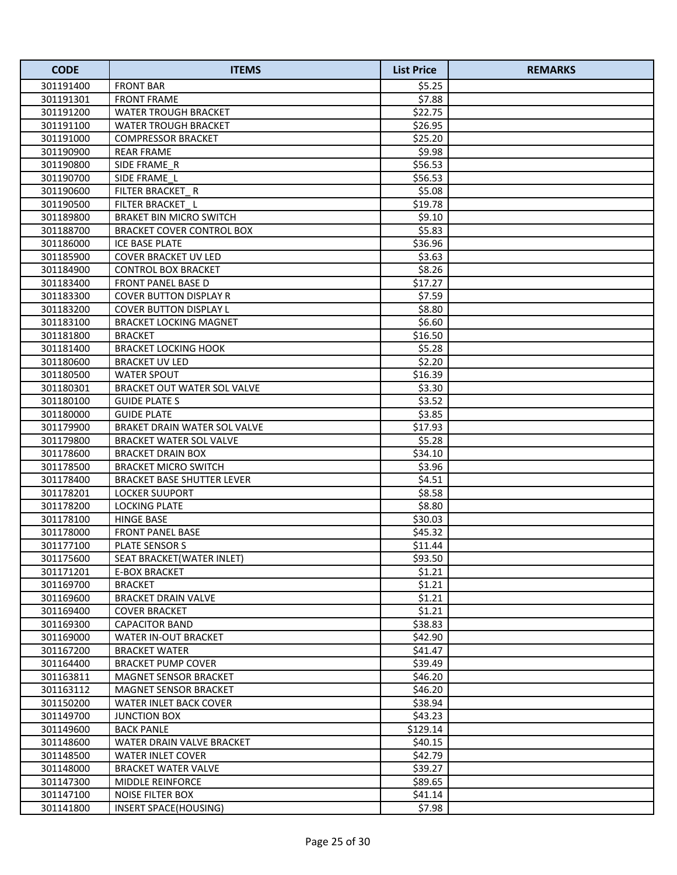| <b>CODE</b> | <b>ITEMS</b>                        | <b>List Price</b> | <b>REMARKS</b> |
|-------------|-------------------------------------|-------------------|----------------|
| 301191400   | <b>FRONT BAR</b>                    | \$5.25            |                |
| 301191301   | <b>FRONT FRAME</b>                  | \$7.88            |                |
| 301191200   | <b>WATER TROUGH BRACKET</b>         | \$22.75           |                |
| 301191100   | <b>WATER TROUGH BRACKET</b>         | \$26.95           |                |
| 301191000   | <b>COMPRESSOR BRACKET</b>           | \$25.20           |                |
| 301190900   | <b>REAR FRAME</b>                   | \$9.98            |                |
| 301190800   | SIDE FRAME R                        | \$56.53           |                |
| 301190700   | SIDE FRAME L                        | \$56.53           |                |
| 301190600   | FILTER BRACKET R                    | \$5.08            |                |
| 301190500   | FILTER BRACKET L                    | \$19.78           |                |
| 301189800   | <b>BRAKET BIN MICRO SWITCH</b>      | \$9.10            |                |
| 301188700   | <b>BRACKET COVER CONTROL BOX</b>    | \$5.83            |                |
| 301186000   | <b>ICE BASE PLATE</b>               | \$36.96           |                |
| 301185900   | COVER BRACKET UV LED                | \$3.63            |                |
| 301184900   | <b>CONTROL BOX BRACKET</b>          | \$8.26            |                |
| 301183400   | FRONT PANEL BASE D                  | \$17.27           |                |
| 301183300   | <b>COVER BUTTON DISPLAY R</b>       | \$7.59            |                |
| 301183200   | <b>COVER BUTTON DISPLAY L</b>       | \$8.80            |                |
| 301183100   | <b>BRACKET LOCKING MAGNET</b>       | \$6.60            |                |
| 301181800   | <b>BRACKET</b>                      | \$16.50           |                |
| 301181400   | <b>BRACKET LOCKING HOOK</b>         | \$5.28            |                |
| 301180600   | <b>BRACKET UV LED</b>               | \$2.20            |                |
| 301180500   | <b>WATER SPOUT</b>                  | \$16.39           |                |
| 301180301   | BRACKET OUT WATER SOL VALVE         | \$3.30            |                |
| 301180100   | <b>GUIDE PLATE S</b>                | \$3.52            |                |
| 301180000   | <b>GUIDE PLATE</b>                  | \$3.85            |                |
| 301179900   | <b>BRAKET DRAIN WATER SOL VALVE</b> | \$17.93           |                |
| 301179800   | <b>BRACKET WATER SOL VALVE</b>      | \$5.28            |                |
| 301178600   | <b>BRACKET DRAIN BOX</b>            | \$34.10           |                |
| 301178500   | <b>BRACKET MICRO SWITCH</b>         | \$3.96            |                |
| 301178400   | <b>BRACKET BASE SHUTTER LEVER</b>   | \$4.51            |                |
| 301178201   | LOCKER SUUPORT                      | \$8.58            |                |
| 301178200   | <b>LOCKING PLATE</b>                | \$8.80            |                |
| 301178100   | <b>HINGE BASE</b>                   | \$30.03           |                |
| 301178000   | <b>FRONT PANEL BASE</b>             | \$45.32           |                |
| 301177100   | PLATE SENSOR S                      | \$11.44           |                |
| 301175600   | SEAT BRACKET(WATER INLET)           | \$93.50           |                |
| 301171201   | <b>E-BOX BRACKET</b>                | \$1.21            |                |
| 301169700   | <b>BRACKET</b>                      | \$1.21            |                |
| 301169600   | <b>BRACKET DRAIN VALVE</b>          | \$1.21            |                |
| 301169400   | <b>COVER BRACKET</b>                | \$1.21            |                |
| 301169300   | <b>CAPACITOR BAND</b>               | \$38.83           |                |
| 301169000   | <b>WATER IN-OUT BRACKET</b>         | \$42.90           |                |
| 301167200   | <b>BRACKET WATER</b>                | \$41.47           |                |
| 301164400   | <b>BRACKET PUMP COVER</b>           | \$39.49           |                |
| 301163811   | MAGNET SENSOR BRACKET               | \$46.20           |                |
| 301163112   | MAGNET SENSOR BRACKET               | \$46.20           |                |
| 301150200   | WATER INLET BACK COVER              | \$38.94           |                |
| 301149700   | <b>JUNCTION BOX</b>                 | \$43.23           |                |
| 301149600   | <b>BACK PANLE</b>                   | \$129.14          |                |
| 301148600   | WATER DRAIN VALVE BRACKET           | \$40.15           |                |
| 301148500   | <b>WATER INLET COVER</b>            | \$42.79           |                |
| 301148000   | <b>BRACKET WATER VALVE</b>          | \$39.27           |                |
| 301147300   | <b>MIDDLE REINFORCE</b>             | \$89.65           |                |
| 301147100   | NOISE FILTER BOX                    | \$41.14           |                |
| 301141800   | <b>INSERT SPACE(HOUSING)</b>        | \$7.98            |                |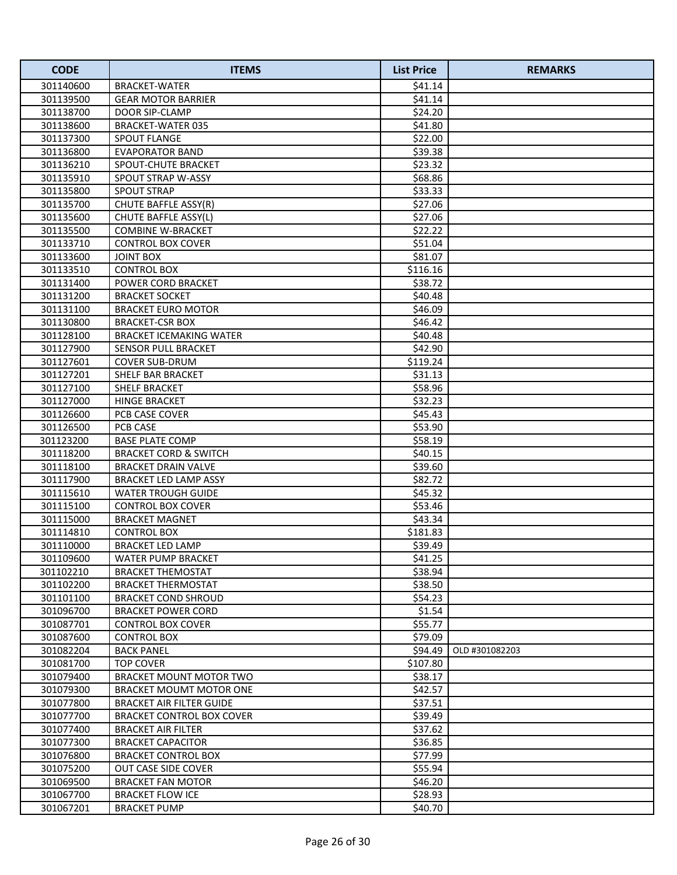| <b>CODE</b>            | <b>ITEMS</b>                                   | <b>List Price</b>  | <b>REMARKS</b> |
|------------------------|------------------------------------------------|--------------------|----------------|
| 301140600              | BRACKET-WATER                                  | \$41.14            |                |
| 301139500              | <b>GEAR MOTOR BARRIER</b>                      | \$41.14            |                |
| 301138700              | DOOR SIP-CLAMP                                 | \$24.20            |                |
| 301138600              | <b>BRACKET-WATER 035</b>                       | \$41.80            |                |
| 301137300              | SPOUT FLANGE                                   | \$22.00            |                |
| 301136800              | <b>EVAPORATOR BAND</b>                         | \$39.38            |                |
| 301136210              | SPOUT-CHUTE BRACKET                            | \$23.32            |                |
| 301135910              | SPOUT STRAP W-ASSY                             | \$68.86            |                |
| 301135800              | <b>SPOUT STRAP</b>                             | \$33.33            |                |
| 301135700              | CHUTE BAFFLE ASSY(R)                           | \$27.06            |                |
| 301135600              | CHUTE BAFFLE ASSY(L)                           | \$27.06            |                |
| 301135500              | <b>COMBINE W-BRACKET</b>                       | \$22.22            |                |
| 301133710              | <b>CONTROL BOX COVER</b>                       | \$51.04            |                |
| 301133600              | <b>JOINT BOX</b>                               | \$81.07            |                |
| 301133510              | <b>CONTROL BOX</b>                             | \$116.16           |                |
| 301131400              | POWER CORD BRACKET                             | \$38.72            |                |
| 301131200              | <b>BRACKET SOCKET</b>                          | \$40.48            |                |
| 301131100              | <b>BRACKET EURO MOTOR</b>                      | \$46.09            |                |
| 301130800              | <b>BRACKET-CSR BOX</b>                         | \$46.42            |                |
| 301128100              | <b>BRACKET ICEMAKING WATER</b>                 | \$40.48            |                |
| 301127900              | SENSOR PULL BRACKET                            | \$42.90            |                |
| 301127601              | COVER SUB-DRUM                                 | \$119.24           |                |
| 301127201              | <b>SHELF BAR BRACKET</b>                       | \$31.13            |                |
| 301127100              | <b>SHELF BRACKET</b>                           | \$58.96            |                |
| 301127000              | <b>HINGE BRACKET</b>                           | \$32.23            |                |
| 301126600              | PCB CASE COVER                                 | \$45.43            |                |
| 301126500              | PCB CASE                                       | \$53.90            |                |
| 301123200              | <b>BASE PLATE COMP</b>                         | \$58.19            |                |
| 301118200              | <b>BRACKET CORD &amp; SWITCH</b>               | \$40.15            |                |
| 301118100              | <b>BRACKET DRAIN VALVE</b>                     | \$39.60            |                |
| 301117900              | BRACKET LED LAMP ASSY                          | \$82.72            |                |
| 301115610              | <b>WATER TROUGH GUIDE</b>                      | \$45.32            |                |
| 301115100              | <b>CONTROL BOX COVER</b>                       | \$53.46            |                |
| 301115000              | <b>BRACKET MAGNET</b>                          | \$43.34            |                |
| 301114810              | <b>CONTROL BOX</b>                             | \$181.83           |                |
| 301110000              | <b>BRACKET LED LAMP</b>                        | \$39.49            |                |
| 301109600<br>301102210 | WATER PUMP BRACKET                             | \$41.25<br>\$38.94 |                |
| 301102200              | BRACKET THEMOSTAT<br><b>BRACKET THERMOSTAT</b> | \$38.50            |                |
| 301101100              | <b>BRACKET COND SHROUD</b>                     | \$54.23            |                |
| 301096700              | <b>BRACKET POWER CORD</b>                      | \$1.54             |                |
| 301087701              | CONTROL BOX COVER                              | \$55.77            |                |
| 301087600              | CONTROL BOX                                    | \$79.09            |                |
| 301082204              | <b>BACK PANEL</b>                              | \$94.49            | OLD #301082203 |
| 301081700              | <b>TOP COVER</b>                               | \$107.80           |                |
| 301079400              | BRACKET MOUNT MOTOR TWO                        | \$38.17            |                |
| 301079300              | BRACKET MOUMT MOTOR ONE                        | \$42.57            |                |
| 301077800              | BRACKET AIR FILTER GUIDE                       | \$37.51            |                |
| 301077700              | BRACKET CONTROL BOX COVER                      | \$39.49            |                |
| 301077400              | BRACKET AIR FILTER                             | \$37.62            |                |
| 301077300              | <b>BRACKET CAPACITOR</b>                       | \$36.85            |                |
| 301076800              | <b>BRACKET CONTROL BOX</b>                     | \$77.99            |                |
| 301075200              | OUT CASE SIDE COVER                            | \$55.94            |                |
| 301069500              | <b>BRACKET FAN MOTOR</b>                       | \$46.20            |                |
| 301067700              | <b>BRACKET FLOW ICE</b>                        | \$28.93            |                |
| 301067201              | <b>BRACKET PUMP</b>                            | \$40.70            |                |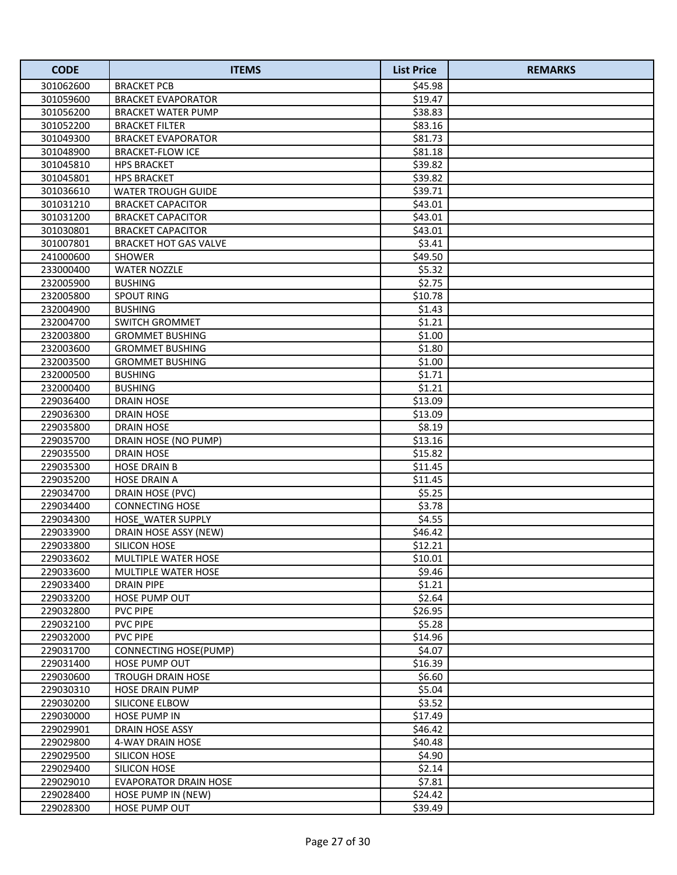| <b>CODE</b> | <b>ITEMS</b>                 | <b>List Price</b> | <b>REMARKS</b> |
|-------------|------------------------------|-------------------|----------------|
| 301062600   | <b>BRACKET PCB</b>           | \$45.98           |                |
| 301059600   | <b>BRACKET EVAPORATOR</b>    | \$19.47           |                |
| 301056200   | <b>BRACKET WATER PUMP</b>    | \$38.83           |                |
| 301052200   | <b>BRACKET FILTER</b>        | \$83.16           |                |
| 301049300   | <b>BRACKET EVAPORATOR</b>    | \$81.73           |                |
| 301048900   | <b>BRACKET-FLOW ICE</b>      | \$81.18           |                |
| 301045810   | <b>HPS BRACKET</b>           | \$39.82           |                |
| 301045801   | <b>HPS BRACKET</b>           | \$39.82           |                |
| 301036610   | <b>WATER TROUGH GUIDE</b>    | \$39.71           |                |
| 301031210   | <b>BRACKET CAPACITOR</b>     | \$43.01           |                |
| 301031200   | <b>BRACKET CAPACITOR</b>     | \$43.01           |                |
| 301030801   | <b>BRACKET CAPACITOR</b>     | \$43.01           |                |
| 301007801   | <b>BRACKET HOT GAS VALVE</b> | \$3.41            |                |
| 241000600   | <b>SHOWER</b>                | \$49.50           |                |
| 233000400   | <b>WATER NOZZLE</b>          | \$5.32            |                |
| 232005900   | <b>BUSHING</b>               | \$2.75            |                |
| 232005800   | <b>SPOUT RING</b>            | \$10.78           |                |
| 232004900   | <b>BUSHING</b>               | \$1.43            |                |
| 232004700   | SWITCH GROMMET               | \$1.21            |                |
| 232003800   | <b>GROMMET BUSHING</b>       | \$1.00            |                |
| 232003600   | <b>GROMMET BUSHING</b>       | \$1.80            |                |
| 232003500   | <b>GROMMET BUSHING</b>       | \$1.00            |                |
| 232000500   | <b>BUSHING</b>               | \$1.71            |                |
| 232000400   | <b>BUSHING</b>               | \$1.21            |                |
| 229036400   | <b>DRAIN HOSE</b>            | \$13.09           |                |
| 229036300   | DRAIN HOSE                   | \$13.09           |                |
| 229035800   | <b>DRAIN HOSE</b>            | \$8.19            |                |
| 229035700   | DRAIN HOSE (NO PUMP)         | \$13.16           |                |
| 229035500   | <b>DRAIN HOSE</b>            | \$15.82           |                |
| 229035300   | <b>HOSE DRAIN B</b>          | \$11.45           |                |
| 229035200   | <b>HOSE DRAIN A</b>          | \$11.45           |                |
| 229034700   | DRAIN HOSE (PVC)             | \$5.25            |                |
| 229034400   | <b>CONNECTING HOSE</b>       | \$3.78            |                |
| 229034300   | HOSE WATER SUPPLY            | \$4.55            |                |
| 229033900   | DRAIN HOSE ASSY (NEW)        | \$46.42           |                |
| 229033800   | SILICON HOSE                 | \$12.21           |                |
| 229033602   | <b>MULTIPLE WATER HOSE</b>   | \$10.01           |                |
| 229033600   | <b>MULTIPLE WATER HOSE</b>   | \$9.46            |                |
| 229033400   | <b>DRAIN PIPE</b>            | \$1.21            |                |
| 229033200   | <b>HOSE PUMP OUT</b>         | \$2.64            |                |
| 229032800   | <b>PVC PIPE</b>              | \$26.95           |                |
| 229032100   | <b>PVC PIPE</b>              | \$5.28            |                |
| 229032000   | <b>PVC PIPE</b>              | \$14.96           |                |
| 229031700   | CONNECTING HOSE(PUMP)        | \$4.07            |                |
| 229031400   | <b>HOSE PUMP OUT</b>         | \$16.39           |                |
| 229030600   | <b>TROUGH DRAIN HOSE</b>     | \$6.60            |                |
| 229030310   | <b>HOSE DRAIN PUMP</b>       | \$5.04            |                |
| 229030200   | SILICONE ELBOW               | \$3.52            |                |
| 229030000   | <b>HOSE PUMP IN</b>          | \$17.49           |                |
| 229029901   | DRAIN HOSE ASSY              | \$46.42           |                |
| 229029800   | 4-WAY DRAIN HOSE             | \$40.48           |                |
| 229029500   | SILICON HOSE                 | \$4.90            |                |
| 229029400   | SILICON HOSE                 | \$2.14            |                |
| 229029010   | <b>EVAPORATOR DRAIN HOSE</b> | \$7.81            |                |
| 229028400   | HOSE PUMP IN (NEW)           | \$24.42           |                |
| 229028300   | HOSE PUMP OUT                | \$39.49           |                |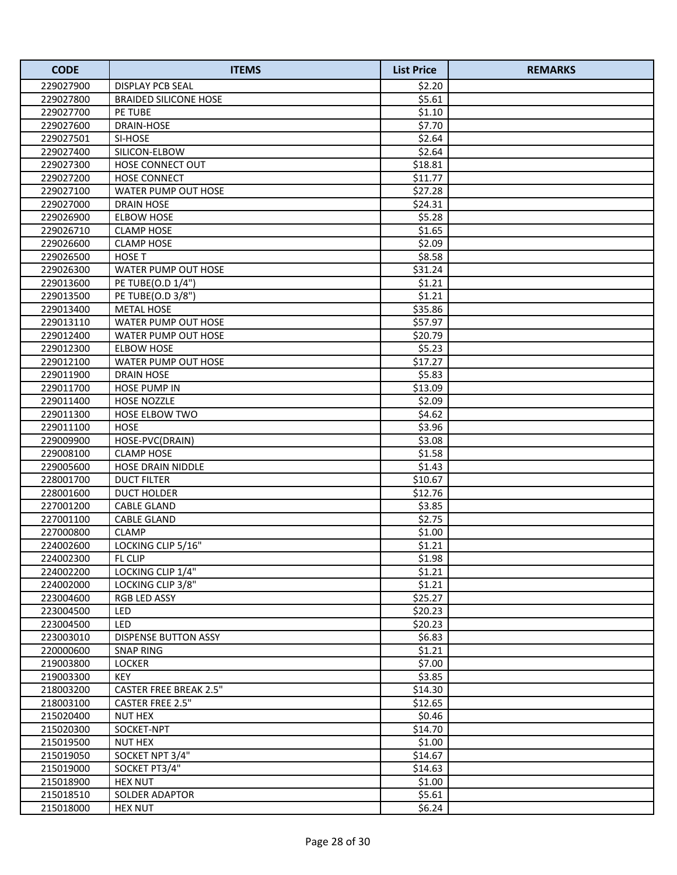| <b>CODE</b> | <b>ITEMS</b>                  | <b>List Price</b> | <b>REMARKS</b> |
|-------------|-------------------------------|-------------------|----------------|
| 229027900   | <b>DISPLAY PCB SEAL</b>       | \$2.20            |                |
| 229027800   | <b>BRAIDED SILICONE HOSE</b>  | \$5.61            |                |
| 229027700   | <b>PE TUBE</b>                | \$1.10            |                |
| 229027600   | <b>DRAIN-HOSE</b>             | \$7.70            |                |
| 229027501   | SI-HOSE                       | \$2.64            |                |
| 229027400   | SILICON-ELBOW                 | \$2.64            |                |
| 229027300   | HOSE CONNECT OUT              | \$18.81           |                |
| 229027200   | <b>HOSE CONNECT</b>           | \$11.77           |                |
| 229027100   | <b>WATER PUMP OUT HOSE</b>    | \$27.28           |                |
| 229027000   | <b>DRAIN HOSE</b>             | \$24.31           |                |
| 229026900   | <b>ELBOW HOSE</b>             | \$5.28            |                |
| 229026710   | <b>CLAMP HOSE</b>             | \$1.65            |                |
| 229026600   | <b>CLAMP HOSE</b>             | \$2.09            |                |
| 229026500   | <b>HOSE T</b>                 | \$8.58            |                |
| 229026300   | WATER PUMP OUT HOSE           | \$31.24           |                |
| 229013600   | PE TUBE(O.D 1/4")             | \$1.21            |                |
| 229013500   | PE TUBE(O.D 3/8")             | \$1.21            |                |
| 229013400   | <b>METAL HOSE</b>             | \$35.86           |                |
| 229013110   | WATER PUMP OUT HOSE           | \$57.97           |                |
| 229012400   | WATER PUMP OUT HOSE           | \$20.79           |                |
| 229012300   | <b>ELBOW HOSE</b>             | \$5.23            |                |
| 229012100   | WATER PUMP OUT HOSE           | \$17.27           |                |
| 229011900   | <b>DRAIN HOSE</b>             | \$5.83            |                |
| 229011700   | <b>HOSE PUMP IN</b>           | \$13.09           |                |
| 229011400   | <b>HOSE NOZZLE</b>            | \$2.09            |                |
| 229011300   | <b>HOSE ELBOW TWO</b>         | \$4.62            |                |
| 229011100   | <b>HOSE</b>                   | \$3.96            |                |
| 229009900   | HOSE-PVC(DRAIN)               | \$3.08            |                |
| 229008100   | <b>CLAMP HOSE</b>             | \$1.58            |                |
| 229005600   | <b>HOSE DRAIN NIDDLE</b>      | \$1.43            |                |
| 228001700   | <b>DUCT FILTER</b>            | \$10.67           |                |
| 228001600   | <b>DUCT HOLDER</b>            | \$12.76           |                |
| 227001200   | <b>CABLE GLAND</b>            | \$3.85            |                |
| 227001100   | <b>CABLE GLAND</b>            | \$2.75            |                |
| 227000800   | <b>CLAMP</b>                  | \$1.00            |                |
| 224002600   | LOCKING CLIP 5/16"            | \$1.21            |                |
| 224002300   | FL CLIP                       | \$1.98            |                |
| 224002200   | LOCKING CLIP 1/4"             | \$1.21            |                |
| 224002000   | LOCKING CLIP 3/8"             | \$1.21            |                |
| 223004600   | RGB LED ASSY                  | \$25.27           |                |
| 223004500   | LED                           | \$20.23           |                |
| 223004500   | <b>LED</b>                    | \$20.23           |                |
| 223003010   | <b>DISPENSE BUTTON ASSY</b>   | \$6.83            |                |
| 220000600   | <b>SNAP RING</b>              | \$1.21            |                |
| 219003800   | <b>LOCKER</b>                 | \$7.00            |                |
| 219003300   | <b>KEY</b>                    | \$3.85            |                |
| 218003200   | <b>CASTER FREE BREAK 2.5"</b> | \$14.30           |                |
| 218003100   | <b>CASTER FREE 2.5"</b>       | \$12.65           |                |
| 215020400   | <b>NUT HEX</b>                | \$0.46            |                |
| 215020300   | SOCKET-NPT                    | \$14.70           |                |
| 215019500   | <b>NUT HEX</b>                | \$1.00            |                |
| 215019050   | SOCKET NPT 3/4"               | \$14.67           |                |
| 215019000   | SOCKET PT3/4"                 | \$14.63           |                |
| 215018900   | <b>HEX NUT</b>                | \$1.00            |                |
| 215018510   | SOLDER ADAPTOR                | \$5.61            |                |
| 215018000   | <b>HEX NUT</b>                | \$6.24\$          |                |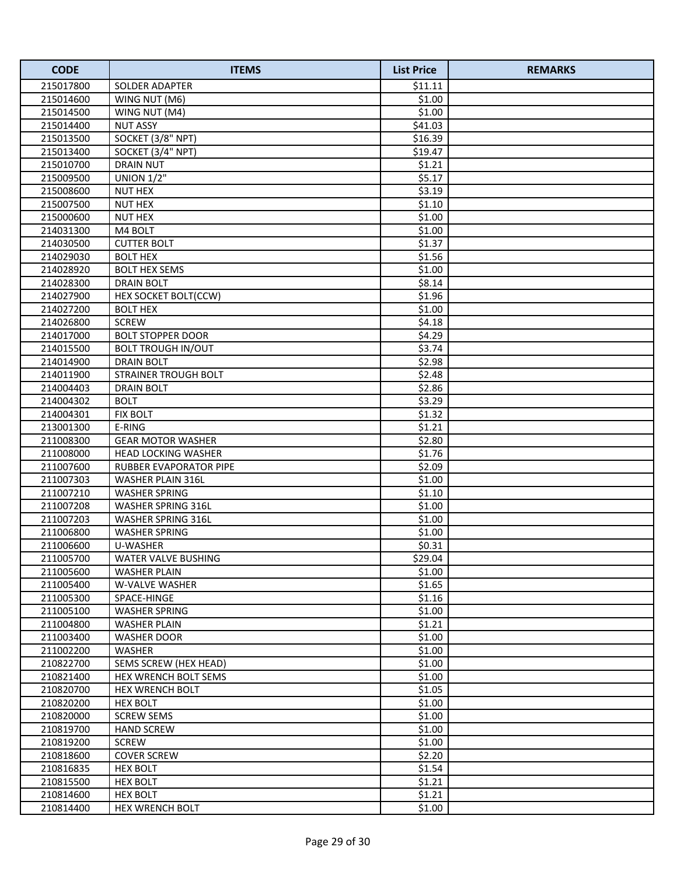| <b>CODE</b> | <b>ITEMS</b>                  | <b>List Price</b> | <b>REMARKS</b> |
|-------------|-------------------------------|-------------------|----------------|
| 215017800   | <b>SOLDER ADAPTER</b>         | \$11.11           |                |
| 215014600   | WING NUT (M6)                 | \$1.00            |                |
| 215014500   | WING NUT (M4)                 | \$1.00            |                |
| 215014400   | <b>NUT ASSY</b>               | \$41.03           |                |
| 215013500   | SOCKET (3/8" NPT)             | \$16.39           |                |
| 215013400   | SOCKET (3/4" NPT)             | \$19.47           |                |
| 215010700   | <b>DRAIN NUT</b>              | \$1.21            |                |
| 215009500   | <b>UNION 1/2"</b>             | \$5.17            |                |
| 215008600   | <b>NUT HEX</b>                | \$3.19            |                |
| 215007500   | <b>NUT HEX</b>                | \$1.10            |                |
| 215000600   | <b>NUT HEX</b>                | \$1.00            |                |
| 214031300   | M4 BOLT                       | \$1.00            |                |
| 214030500   | <b>CUTTER BOLT</b>            | \$1.37            |                |
| 214029030   | <b>BOLT HEX</b>               | \$1.56            |                |
| 214028920   | <b>BOLT HEX SEMS</b>          | \$1.00            |                |
| 214028300   | <b>DRAIN BOLT</b>             | \$8.14            |                |
| 214027900   | HEX SOCKET BOLT(CCW)          | \$1.96            |                |
| 214027200   | <b>BOLT HEX</b>               | \$1.00            |                |
| 214026800   | <b>SCREW</b>                  | \$4.18            |                |
| 214017000   | <b>BOLT STOPPER DOOR</b>      | \$4.29            |                |
| 214015500   | <b>BOLT TROUGH IN/OUT</b>     | \$3.74            |                |
| 214014900   | <b>DRAIN BOLT</b>             | \$2.98            |                |
| 214011900   | STRAINER TROUGH BOLT          | \$2.48            |                |
| 214004403   | <b>DRAIN BOLT</b>             | \$2.86            |                |
| 214004302   | <b>BOLT</b>                   | \$3.29            |                |
| 214004301   | <b>FIX BOLT</b>               | \$1.32            |                |
| 213001300   | E-RING                        | \$1.21            |                |
| 211008300   | <b>GEAR MOTOR WASHER</b>      | \$2.80            |                |
| 211008000   | HEAD LOCKING WASHER           | \$1.76            |                |
| 211007600   | <b>RUBBER EVAPORATOR PIPE</b> | \$2.09            |                |
| 211007303   | WASHER PLAIN 316L             | \$1.00            |                |
| 211007210   | <b>WASHER SPRING</b>          | \$1.10            |                |
| 211007208   | WASHER SPRING 316L            | \$1.00            |                |
| 211007203   | <b>WASHER SPRING 316L</b>     | \$1.00            |                |
| 211006800   | <b>WASHER SPRING</b>          | \$1.00            |                |
| 211006600   | U-WASHER                      | \$0.31            |                |
| 211005700   | WATER VALVE BUSHING           | \$29.04           |                |
| 211005600   | <b>WASHER PLAIN</b>           | \$1.00            |                |
| 211005400   | <b>W-VALVE WASHER</b>         | \$1.65            |                |
| 211005300   | SPACE-HINGE                   | \$1.16            |                |
| 211005100   | WASHER SPRING                 | \$1.00            |                |
| 211004800   | <b>WASHER PLAIN</b>           | \$1.21            |                |
| 211003400   | WASHER DOOR                   | \$1.00            |                |
| 211002200   | WASHER                        | \$1.00            |                |
| 210822700   | SEMS SCREW (HEX HEAD)         | \$1.00            |                |
| 210821400   | <b>HEX WRENCH BOLT SEMS</b>   | \$1.00            |                |
| 210820700   | <b>HEX WRENCH BOLT</b>        | \$1.05            |                |
| 210820200   | <b>HEX BOLT</b>               | \$1.00            |                |
| 210820000   | <b>SCREW SEMS</b>             | \$1.00            |                |
| 210819700   | <b>HAND SCREW</b>             | \$1.00            |                |
| 210819200   | <b>SCREW</b>                  | \$1.00            |                |
| 210818600   | <b>COVER SCREW</b>            | \$2.20            |                |
| 210816835   | <b>HEX BOLT</b>               | \$1.54            |                |
| 210815500   | <b>HEX BOLT</b>               | \$1.21            |                |
| 210814600   | <b>HEX BOLT</b>               | \$1.21            |                |
| 210814400   | HEX WRENCH BOLT               | \$1.00            |                |